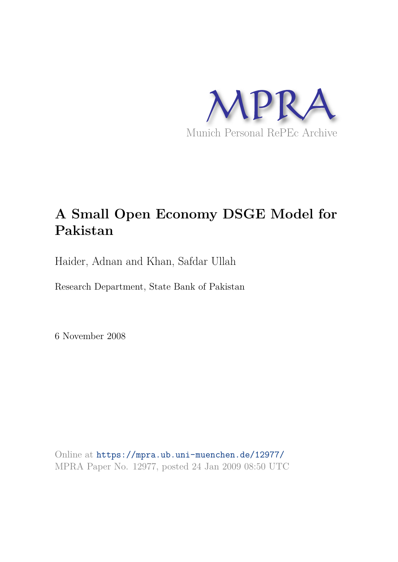

# **A Small Open Economy DSGE Model for Pakistan**

Haider, Adnan and Khan, Safdar Ullah

Research Department, State Bank of Pakistan

6 November 2008

Online at https://mpra.ub.uni-muenchen.de/12977/ MPRA Paper No. 12977, posted 24 Jan 2009 08:50 UTC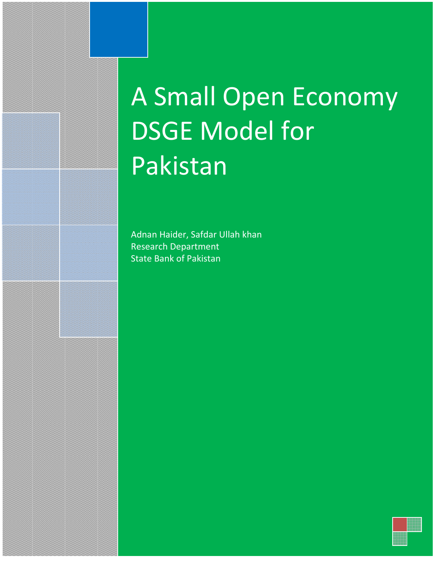# A Small Open Economy DSGE Model for Pakistan

Adnan Haider, Safdar Ullah khan Research Department State Bank of Pakistan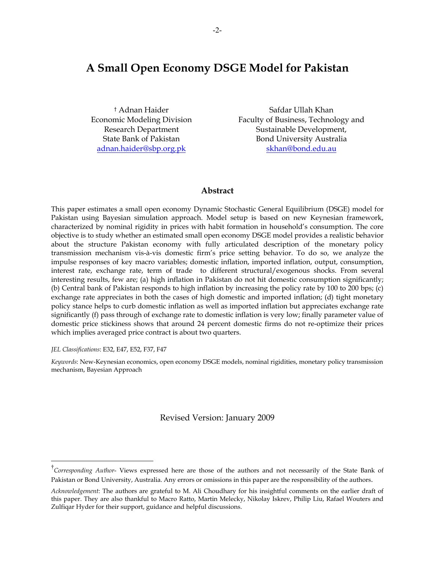# **A Small Open Economy DSGE Model for Pakistan**

† Adnan Haider Economic Modeling Division Research Department State Bank of Pakistan adnan.haider@sbp.org.pk

Safdar Ullah Khan Faculty of Business, Technology and Sustainable Development, Bond University Australia skhan@bond.edu.au

# **Abstract**

This paper estimates a small open economy Dynamic Stochastic General Equilibrium (DSGE) model for Pakistan using Bayesian simulation approach. Model setup is based on new Keynesian framework, characterized by nominal rigidity in prices with habit formation in household's consumption. The core objective is to study whether an estimated small open economy DSGE model provides a realistic behavior about the structure Pakistan economy with fully articulated description of the monetary policy transmission mechanism vis-à-vis domestic firm's price setting behavior. To do so, we analyze the impulse responses of key macro variables; domestic inflation, imported inflation, output, consumption, interest rate, exchange rate, term of trade to different structural/exogenous shocks. From several interesting results, few are; (a) high inflation in Pakistan do not hit domestic consumption significantly; (b) Central bank of Pakistan responds to high inflation by increasing the policy rate by 100 to 200 bps; (c) exchange rate appreciates in both the cases of high domestic and imported inflation; (d) tight monetary policy stance helps to curb domestic inflation as well as imported inflation but appreciates exchange rate significantly (f) pass through of exchange rate to domestic inflation is very low; finally parameter value of domestic price stickiness shows that around 24 percent domestic firms do not re-optimize their prices which implies averaged price contract is about two quarters.

*JEL Classifications*: E32, E47, E52, F37, F47

*Keywords*: New-Keynesian economics, open economy DSGE models, nominal rigidities, monetary policy transmission mechanism, Bayesian Approach

Revised Version: January 2009

<sup>†</sup> *Corresponding Author*- Views expressed here are those of the authors and not necessarily of the State Bank of Pakistan or Bond University, Australia. Any errors or omissions in this paper are the responsibility of the authors.

*Acknowledgement*: The authors are grateful to M. Ali Choudhary for his insightful comments on the earlier draft of this paper. They are also thankful to Macro Ratto, Martin Melecky, Nikolay Iskrev, Philip Liu, Rafael Wouters and Zulfiqar Hyder for their support, guidance and helpful discussions.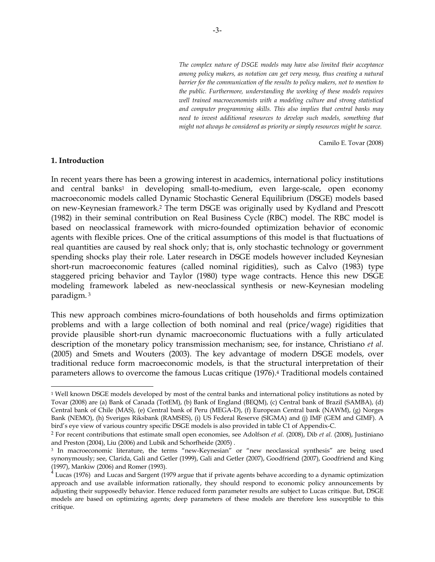*The complex nature of DSGE models may have also limited their acceptance among policy makers, as notation can get very messy, thus creating a natural barrier for the communication of the results to policy makers, not to mention to the public. Furthermore, understanding the working of these models requires*  well trained macroeconomists with a modeling culture and strong statistical *and computer programming skills. This also implies that central banks may need to invest additional resources to develop such models, something that might not always be considered as priority or simply resources might be scarce.* 

Camilo E. Tovar (2008)

#### **1. Introduction**

In recent years there has been a growing interest in academics, international policy institutions and central banks1 in developing small-to-medium, even large-scale, open economy macroeconomic models called Dynamic Stochastic General Equilibrium (DSGE) models based on new-Keynesian framework.2 The term DSGE was originally used by Kydland and Prescott (1982) in their seminal contribution on Real Business Cycle (RBC) model. The RBC model is based on neoclassical framework with micro-founded optimization behavior of economic agents with flexible prices. One of the critical assumptions of this model is that fluctuations of real quantities are caused by real shock only; that is, only stochastic technology or government spending shocks play their role. Later research in DSGE models however included Keynesian short-run macroeconomic features (called nominal rigidities), such as Calvo (1983) type staggered pricing behavior and Taylor (1980) type wage contracts. Hence this new DSGE modeling framework labeled as new-neoclassical synthesis or new-Keynesian modeling paradigm.<sup>3</sup>

This new approach combines micro-foundations of both households and firms optimization problems and with a large collection of both nominal and real (price/wage) rigidities that provide plausible short-run dynamic macroeconomic fluctuations with a fully articulated description of the monetary policy transmission mechanism; see, for instance, Christiano *et al.* (2005) and Smets and Wouters (2003). The key advantage of modern DSGE models, over traditional reduce form macroeconomic models, is that the structural interpretation of their parameters allows to overcome the famous Lucas critique (1976).4 Traditional models contained

<sup>1</sup> Well known DSGE models developed by most of the central banks and international policy institutions as noted by Tovar (2008) are (a) Bank of Canada (TotEM), (b) Bank of England (BEQM), (c) Central bank of Brazil (SAMBA), (d) Central bank of Chile (MAS), (e) Central bank of Peru (MEGA-D), (f) European Central bank (NAWM), (g) Norges Bank (NEMO), (h) Sveriges Riksbank (RAMSES), (i) US Federal Reserve (SIGMA) and (j) IMF (GEM and GIMF). A bird's eye view of various country specific DSGE models is also provided in table C1 of Appendix-C.

<sup>2</sup> For recent contributions that estimate small open economies, see Adolfson *et al.* (2008), Dib *et al.* (2008), Justiniano and Preston (2004), Liu (2006) and Lubik and Schorfheide (2005) .

<sup>3</sup> In macroeconomic literature, the terms "new-Keynesian" or "new neoclassical synthesis" are being used synonymously; see, Clarida, Gali and Getler (1999), Gali and Getler (2007), Goodfriend (2007), Goodfriend and King (1997), Mankiw (2006) and Romer (1993).

<sup>&</sup>lt;sup>4</sup> Lucas (1976) and Lucas and Sargent (1979 argue that if private agents behave according to a dynamic optimization approach and use available information rationally, they should respond to economic policy announcements by adjusting their supposedly behavior. Hence reduced form parameter results are subject to Lucas critique. But, DSGE models are based on optimizing agents; deep parameters of these models are therefore less susceptible to this critique.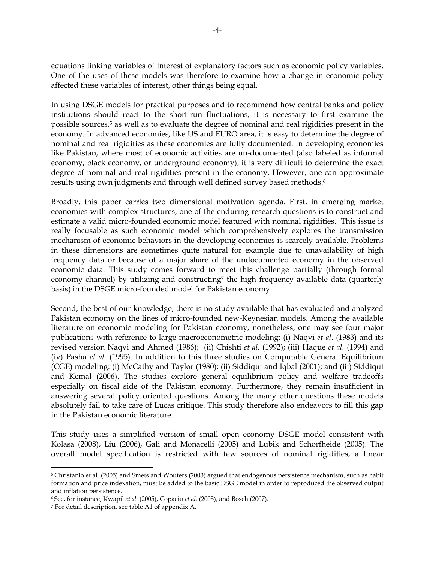equations linking variables of interest of explanatory factors such as economic policy variables. One of the uses of these models was therefore to examine how a change in economic policy affected these variables of interest, other things being equal.

In using DSGE models for practical purposes and to recommend how central banks and policy institutions should react to the short-run fluctuations, it is necessary to first examine the possible sources,5 as well as to evaluate the degree of nominal and real rigidities present in the economy. In advanced economies, like US and EURO area, it is easy to determine the degree of nominal and real rigidities as these economies are fully documented. In developing economies like Pakistan, where most of economic activities are un-documented (also labeled as informal economy, black economy, or underground economy), it is very difficult to determine the exact degree of nominal and real rigidities present in the economy. However, one can approximate results using own judgments and through well defined survey based methods.<sup>6</sup>

Broadly, this paper carries two dimensional motivation agenda. First, in emerging market economies with complex structures, one of the enduring research questions is to construct and estimate a valid micro-founded economic model featured with nominal rigidities. This issue is really focusable as such economic model which comprehensively explores the transmission mechanism of economic behaviors in the developing economies is scarcely available. Problems in these dimensions are sometimes quite natural for example due to unavailability of high frequency data or because of a major share of the undocumented economy in the observed economic data. This study comes forward to meet this challenge partially (through formal economy channel) by utilizing and constructing<sup>7</sup> the high frequency available data (quarterly basis) in the DSGE micro-founded model for Pakistan economy.

Second, the best of our knowledge, there is no study available that has evaluated and analyzed Pakistan economy on the lines of micro-founded new-Keynesian models. Among the available literature on economic modeling for Pakistan economy, nonetheless, one may see four major publications with reference to large macroeconometric modeling: (i) Naqvi *et al*. (1983) and its revised version Naqvi and Ahmed (1986); (ii) Chishti *et al.* (1992); (iii) Haque *et al.* (1994) and (iv) Pasha *et al.* (1995). In addition to this three studies on Computable General Equilibrium (CGE) modeling: (i) McCathy and Taylor (1980); (ii) Siddiqui and Iqbal (2001); and (iii) Siddiqui and Kemal (2006). The studies explore general equilibrium policy and welfare tradeoffs especially on fiscal side of the Pakistan economy. Furthermore, they remain insufficient in answering several policy oriented questions. Among the many other questions these models absolutely fail to take care of Lucas critique. This study therefore also endeavors to fill this gap in the Pakistan economic literature.

This study uses a simplified version of small open economy DSGE model consistent with Kolasa (2008), Liu (2006), Gali and Monacelli (2005) and Lubik and Schorfheide (2005). The overall model specification is restricted with few sources of nominal rigidities, a linear

<sup>5</sup>Christanio et al. (2005) and Smets and Wouters (2003) argued that endogenous persistence mechanism, such as habit formation and price indexation, must be added to the basic DSGE model in order to reproduced the observed output and inflation persistence.

<sup>6</sup>See, for instance; Kwapil *et al.* (2005), Copaciu *et al.* (2005), and Bosch (2007).

<sup>7</sup> For detail description, see table A1 of appendix A.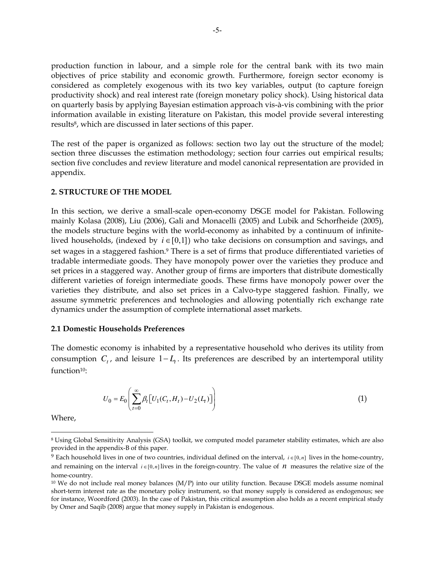production function in labour, and a simple role for the central bank with its two main objectives of price stability and economic growth. Furthermore, foreign sector economy is considered as completely exogenous with its two key variables, output (to capture foreign productivity shock) and real interest rate (foreign monetary policy shock). Using historical data on quarterly basis by applying Bayesian estimation approach vis-à-vis combining with the prior information available in existing literature on Pakistan, this model provide several interesting results<sup>8</sup>, which are discussed in later sections of this paper.

The rest of the paper is organized as follows: section two lay out the structure of the model; section three discusses the estimation methodology; section four carries out empirical results; section five concludes and review literature and model canonical representation are provided in appendix.

#### **2. STRUCTURE OF THE MODEL**

In this section, we derive a small-scale open-economy DSGE model for Pakistan. Following mainly Kolasa (2008), Liu (2006), Gali and Monacelli (2005) and Lubik and Schorfheide (2005), the models structure begins with the world-economy as inhabited by a continuum of infinitelived households, (indexed by  $i \in [0,1]$ ) who take decisions on consumption and savings, and set wages in a staggered fashion.<sup>9</sup> There is a set of firms that produce differentiated varieties of tradable intermediate goods. They have monopoly power over the varieties they produce and set prices in a staggered way. Another group of firms are importers that distribute domestically different varieties of foreign intermediate goods. These firms have monopoly power over the varieties they distribute, and also set prices in a Calvo-type staggered fashion. Finally, we assume symmetric preferences and technologies and allowing potentially rich exchange rate dynamics under the assumption of complete international asset markets.

#### **2.1 Domestic Households Preferences**

The domestic economy is inhabited by a representative household who derives its utility from consumption *C<sup>t</sup>* , and leisure 1− *L<sup>t</sup>* . Its preferences are described by an intertemporal utility function<sup>10</sup>:

$$
U_0 = E_0 \left( \sum_{t=0}^{\infty} \beta_t \left[ U_1(C_t, H_t) - U_2(L_t) \right] \right)
$$
 (1)

Where,

<sup>8</sup>Using Global Sensitivity Analysis (GSA) toolkit, we computed model parameter stability estimates, which are also provided in the appendix-B of this paper.

<sup>9</sup> Each household lives in one of two countries, individual defined on the interval,  $i \in [0, n]$  lives in the home-country, and remaining on the interval  $i \in [0, n]$  lives in the foreign-country. The value of *n* measures the relative size of the home-country.

 $10$  We do not include real money balances (M/P) into our utility function. Because DSGE models assume nominal short-term interest rate as the monetary policy instrument, so that money supply is considered as endogenous; see for instance, Woordford (2003). In the case of Pakistan, this critical assumption also holds as a recent empirical study by Omer and Saqib (2008) argue that money supply in Pakistan is endogenous.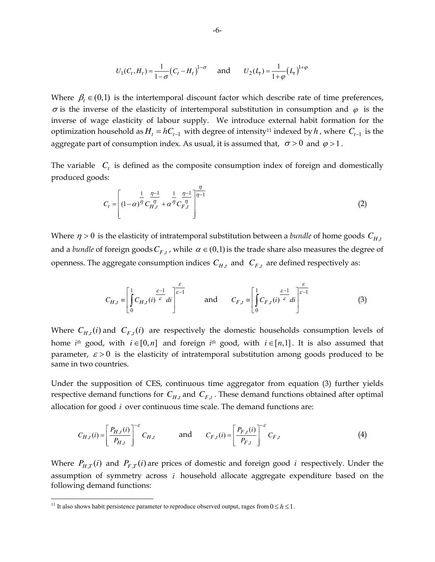$$
U_1(C_t, H_t) = \frac{1}{1 - \sigma} (C_t - H_t)^{1 - \sigma} \quad \text{and} \quad U_2(L_t) = \frac{1}{1 + \varphi} (L_t)^{1 + \varphi}
$$

Where  $\beta_t \in (0,1)$  is the intertemporal discount factor which describe rate of time preferences,  $\sigma$  is the inverse of the elasticity of intertemporal substitution in consumption and  $\varphi$  is the inverse of wage elasticity of labour supply. We introduce external habit formation for the optimization household as  $H_t = hC_{t-1}$  with degree of intensity<sup>11</sup> indexed by  $h$ , where  $C_{t-1}$  is the aggregate part of consumption index. As usual, it is assumed that,  $\sigma > 0$  and  $\varphi > 1$ .

The variable  $C<sub>t</sub>$  is defined as the composite consumption index of foreign and domestically produced goods:

η

$$
C_{t} = \left[ (1 - \alpha)^{\frac{1}{\eta}} C_{H,t}^{\frac{\eta - 1}{\eta}} + \alpha^{\frac{1}{\eta}} C_{F,t}^{\frac{\eta - 1}{\eta}} \right]^{\frac{\eta}{\eta - 1}}
$$
(2)

Where  $\eta > 0$  is the elasticity of intratemporal substitution between a *bundle* of home goods  $C_{H,t}$ and a *bundle* of foreign goods  $C_{F,t}$ , while  $\alpha \in (0,1)$  is the trade share also measures the degree of openness. The aggregate consumption indices  $C_{H,t}$  and  $C_{F,t}$  are defined respectively as:

$$
C_{H,t} = \left[ \int_0^1 C_{H,t}(i) \frac{\varepsilon - 1}{\varepsilon} \, di \right]^{\frac{\varepsilon}{\varepsilon - 1}} \qquad \text{and} \qquad C_{F,t} = \left[ \int_0^1 C_{F,t}(i) \frac{\varepsilon - 1}{\varepsilon} \, di \right]^{\frac{\varepsilon}{\varepsilon - 1}} \tag{3}
$$

Where  $C_{H,t}(i)$  and  $C_{F,t}(i)$  are respectively the domestic households consumption levels of home *i*<sup>th</sup> good, with  $i \in [0, n]$  and foreign *i*<sup>th</sup> good, with  $i \in [n, 1]$ . It is also assumed that parameter,  $\varepsilon > 0$  is the elasticity of intratemporal substitution among goods produced to be same in two countries.

Under the supposition of CES, continuous time aggregator from equation (3) further yields respective demand functions for  $C_{H,t}$  and  $C_{F,t}$ . These demand functions obtained after optimal allocation for good *i* over continuous time scale. The demand functions are:

$$
C_{H,t}(i) = \left[\frac{P_{H,t}(i)}{P_{H,t}}\right]^{-\varepsilon} C_{H,t} \quad \text{and} \quad C_{F,t}(i) = \left[\frac{P_{F,t}(i)}{P_{F,t}}\right]^{-\varepsilon} C_{F,t} \tag{4}
$$

Where  $P_{H,T}(i)$  and  $P_{F,T}(i)$  are prices of domestic and foreign good *i* respectively. Under the assumption of symmetry across *i* household allocate aggregate expenditure based on the following demand functions:

<sup>&</sup>lt;sup>11</sup> It also shows habit persistence parameter to reproduce observed output, rages from  $0 \le h \le 1$ .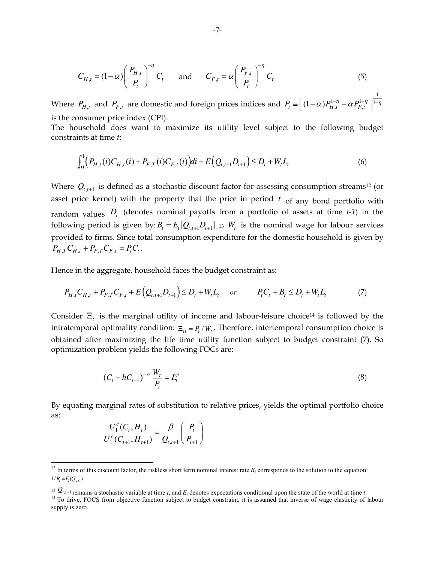$$
C_{H,t} = (1 - \alpha) \left(\frac{P_{H,t}}{P_t}\right)^{-\eta} C_t \quad \text{and} \quad C_{F,t} = \alpha \left(\frac{P_{F,t}}{P_t}\right)^{-\eta} C_t \tag{5}
$$

Where  $P_{H,t}$  and  $P_{F,t}$  are domestic and foreign prices indices and 1  $P_t \equiv \left[ (1-\alpha) P_{H,t}^{1-\eta} + \alpha P_{F,t}^{1-\eta} \right]$ is the consumer price index (CPI).

The household does want to maximize its utility level subject to the following budget constraints at time *t*:

$$
\int_0^1 \Bigl(P_{H,t}(i)C_{H,t}(i) + P_{F,T}(i)C_{F,t}(i)\Bigr)di + E\Bigl(Q_{t,t+1}D_{t+1}\Bigr) \le D_t + W_t L_t \tag{6}
$$

Where  $Q_{t,t+1}$  is defined as a stochastic discount factor for assessing consumption streams<sup>12</sup> (or asset price kernel) with the property that the price in period  $t_{\text{of any bond portfolio with}}$ random values *D<sup>t</sup>* (denotes nominal payoffs from a portfolio of assets at time *t-1*) in the following period is given by:  $B_t = E_t[Q_{t,t+1} D_{t+1}]$  is  $W_t$  is the nominal wage for labour services provided to firms. Since total consumption expenditure for the domestic household is given by  $P_{H,T} C_{H,t} + P_{F,T} C_{F,t} = P_t C_t$ .

Hence in the aggregate, household faces the budget constraint as:

$$
P_{H,t}C_{H,t} + P_{F,T}C_{F,t} + E(Q_{t,t+1}D_{t+1}) \le D_t + W_t L_t \quad or \quad P_t C_t + B_t \le D_t + W_t L_t \tag{7}
$$

Consider  $\Xi_t$  is the marginal utility of income and labour-leisure choice<sup>14</sup> is followed by the intratemporal optimality condition:  $E_{tt} = P_t / W_t$ , Therefore, intertemporal consumption choice is obtained after maximizing the life time utility function subject to budget constraint (7). So optimization problem yields the following FOCs are:

$$
(C_t - hC_{t-1})^{-\sigma} \frac{W_t}{P_t} = L_t^{\varphi}
$$
 (8)

By equating marginal rates of substitution to relative prices, yields the optimal portfolio choice as:

$$
\frac{U_1^c(C_t, H_t)}{U_1^c(C_{t+1}, H_{t+1})} = \frac{\beta}{Q_{t,t+1}} \left(\frac{P_t}{P_{t+1}}\right)
$$

 $^{12}$  In terms of this discount factor, the riskless short term nominal interest rate  $R_t$  corresponds to the solution to the equation:  $1/R = E(Q_{t+1})$ .

<sup>&</sup>lt;sup>13</sup>  $Q_{t,t+1}$  remains a stochastic variable at time *t*, and  $E_t$  denotes expectations conditional upon the state of the world at time *t*. <sup>14</sup> To drive, FOCS from objective function subject to budget constraint, it is assumed that inverse of wage elasticity of labour supply is zero.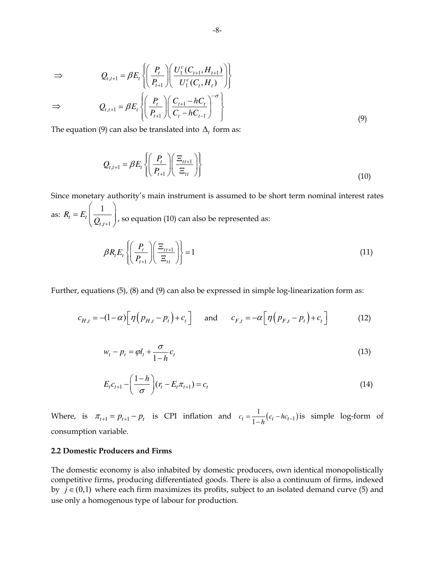$$
\Rightarrow Q_{t,t+1} = \beta E_t \left\{ \left( \frac{P_t}{P_{t+1}} \right) \left( \frac{U_1^c(C_{t+1}, H_{t+1})}{U_1^c(C_t, H_t)} \right) \right\}
$$
  

$$
\Rightarrow Q_{t,t+1} = \beta E_t \left\{ \left( \frac{P_t}{P_{t+1}} \right) \left( \frac{C_{t+1} - hC_t}{C_t - hC_{t-1}} \right)^{-\sigma} \right\}
$$
  

$$
\Rightarrow (9)
$$

The equation (9) can also be translated into  $\Delta_t$  form as:

$$
Q_{t,t+1} = \beta E_t \left\{ \left( \frac{P_t}{P_{t+1}} \right) \left( \frac{\Xi_{tt+1}}{\Xi_{tt}} \right) \right\} \tag{10}
$$

Since monetary authority's main instrument is assumed to be short term nominal interest rates as:  $,t+1$ 1  $t - L_t$ *t t*  $R_{t} = E$  $\overline{\mathcal{Q}}_{t,t+}$  $(1)$  $=E_t\left(\frac{1}{Q_{t,t+1}}\right)$ , so equation (10) can also be represented as: 1 1  $\left| \sum_{t} E_{t} \right| \left| \frac{I_{t}}{R} \right| \left| \frac{I_{t+1}}{R} \right| \geq 1$  $_{t+1}$   $\left. \right)$   $\left\langle \right. \left. \right.$   $\left. \right.$   $\left. \right.$   $\left. \right.$   $\left. \right.$   $\left. \right.$   $\left. \right.$   $\left. \right.$   $\left. \right.$   $\left. \right.$   $\left. \right.$   $\left. \right.$   $\left. \right.$   $\left. \right.$   $\left. \right.$   $\left. \right.$   $\left. \right.$   $\left. \right.$   $\left. \right.$   $\left. \right.$   $\left. \right.$   $\left.$  $R_{t}E_{t} \left\{ \left( \frac{P_{t}}{P_{t}}\right)$ *P*  $\beta R_{t} E_{t} \left\{ \left| \frac{I_{t}}{I_{t}} \right| \right| \frac{I_{t}}{I_{t}}$ +  $\left| \left( \begin{array}{c} P_t \end{array} \right) \left( \Xi_{tt+1} \right) \right|$  $\left\{ \left| \frac{I_t}{I} \right| \left| \frac{I_{t+1}}{I} \right| \right\} =$  $\left(\left(P_{t+1}\right)\left(\left(\frac{P_{t+1}}{P_{t+1}}\right)\right)\right)$ (11)

Further, equations (5), (8) and (9) can also be expressed in simple log-linearization form as:

$$
c_{H,t} = -(1-\alpha)\left[\eta\left(p_{H,t} - p_t\right) + c_t\right] \quad \text{and} \quad c_{F,t} = -\alpha\left[\eta\left(p_{F,t} - p_t\right) + c_t\right] \tag{12}
$$

$$
w_t - p_t = \varphi l_t + \frac{\sigma}{1 - h} c_t \tag{13}
$$

$$
E_{t}c_{t+1} - \left(\frac{1-h}{\sigma}\right)(r_{t} - E_{t}\pi_{t+1}) = c_{t}
$$
\n(14)

Where, is  $\pi_{t+1} = p_{t+1} - p_t$  is CPI inflation and  $c_t = \frac{1}{1-h}(c_t - hc_{t-1})$  $c_t = \frac{1}{1-h} (c_t - hc_t)$  $=\frac{1}{1-h}(c_t-hc_{t-1})$  is simple log-form of consumption variable.

# **2.2 Domestic Producers and Firms**

The domestic economy is also inhabited by domestic producers, own identical monopolistically competitive firms, producing differentiated goods. There is also a continuum of firms, indexed by  $j \in (0,1)$  where each firm maximizes its profits, subject to an isolated demand curve (5) and use only a homogenous type of labour for production.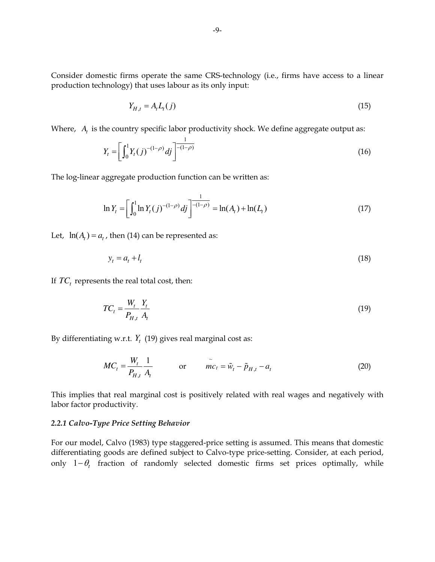Consider domestic firms operate the same CRS-technology (i.e., firms have access to a linear production technology) that uses labour as its only input:

$$
Y_{H,t} = A_t L_t(j) \tag{15}
$$

Where,  $A_t$  is the country specific labor productivity shock. We define aggregate output as:

$$
Y_t = \left[ \int_0^1 Y_t(j)^{-(1-\rho)} \, dj \right]^{-\frac{1}{-(1-\rho)}} \tag{16}
$$

The log-linear aggregate production function can be written as:

$$
\ln Y_t = \left[ \int_0^1 \ln Y_t(j)^{-(1-\rho)} \, dj \right]^{-\frac{1}{-(1-\rho)}} = \ln(A_t) + \ln(L_t) \tag{17}
$$

Let,  $ln(A) = a_t$ , then (14) can be represented as:

$$
y_t = a_t + l_t \tag{18}
$$

If  $TC_t$  represents the real total cost, then:

$$
TC_t = \frac{W_t}{P_{H,t}} \frac{Y_t}{A_t} \tag{19}
$$

By differentiating w.r.t.  $Y_t$  (19) gives real marginal cost as:

$$
MC_t = \frac{W_t}{P_{H,t}} \frac{1}{A_t} \qquad \text{or} \qquad \tilde{mc}_t = \tilde{w}_t - \tilde{p}_{H,t} - a_t \qquad (20)
$$

This implies that real marginal cost is positively related with real wages and negatively with labor factor productivity.

#### *2.2.1 Calvo-Type Price Setting Behavior*

For our model, Calvo (1983) type staggered-price setting is assumed. This means that domestic differentiating goods are defined subject to Calvo-type price-setting. Consider, at each period, only 1−θ*<sup>t</sup>* fraction of randomly selected domestic firms set prices optimally, while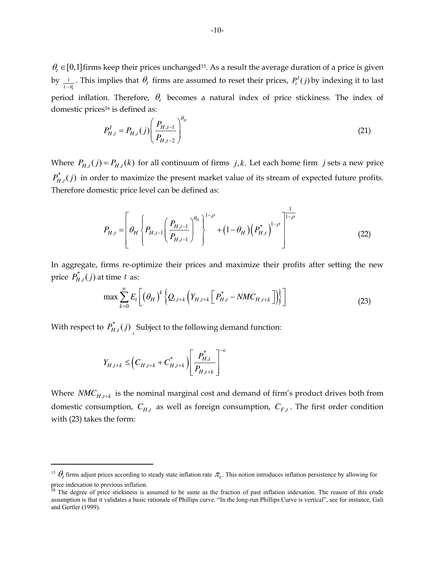$\theta_t \in [0,1]$  firms keep their prices unchanged<sup>15</sup>. As a result the average duration of a price is given by  $\frac{1}{\sqrt{2}}$  $\frac{1}{1-\theta_t}$ . This implies that  $\theta_t$  firms are assumed to reset their prices,  $P_t^I(j)$  by indexing it to last period inflation. Therefore,  $\theta$ <sub>t</sub> becomes a natural index of price stickiness. The index of domestic prices<sup>16</sup> is defined as:

$$
P_{H,t}^I = P_{H,t}(j) \left( \frac{P_{H,t-1}}{P_{H,t-2}} \right)^{\theta_H}
$$
 (21)

Where  $P_{H,t}(j) = P_{H,t}(k)$  for all continuum of firms *j*,*k*. Let each home firm *j* sets a new price \*  $P_{H,t}^{\dagger}(j)$  in order to maximize the present market value of its stream of expected future profits. Therefore domestic price level can be defined as:

$$
P_{H,t} = \left[ \theta_H \left\{ P_{H,t-1} \left( \frac{P_{H,t-1}}{P_{H,t-1}} \right)^{\theta_H} \right\}^{1-\rho} + \left( 1 - \theta_H \right) \left( P_{H,t}^* \right)^{1-\rho} \right]^{1-\rho}
$$
(22)

In aggregate, firms re-optimize their prices and maximize their profits after setting the new price  $P_{H,t}^*(j)$  at time *t* as:

$$
\max \sum_{k=0}^{\infty} E_t \bigg[ \big(\theta_H \big)^k \big\{ Q_{t,t+k} \big( Y_{H,t+k} \bigg[ P_{H,t}^* - NMC_{H,t+k} \bigg] \big) \big\} \bigg]
$$
(23)

With respect to  $P_{H,t}^*(j)$ , Subject to the following demand function:

$$
Y_{H,t+k} \leq \left(C_{H,t+k} + C_{H,t+k}^*\right)\left[\frac{P_{H,t}^*}{P_{H,t+k}}\right]^{-\epsilon}
$$

Where  $NMC_{H,t+k}$  is the nominal marginal cost and demand of firm's product drives both from domestic consumption,  $C_{H,t}$  as well as foreign consumption,  $C_{F,t}$ . The first order condition with (23) takes the form:

<sup>&</sup>lt;sup>15</sup>  $\theta_t$  firms adjust prices according to steady state inflation rate  $\pi_t$ . This notion introduces inflation persistence by allowing for price indexation to previous inflation.

<sup>&</sup>lt;sup>16</sup> The degree of price stickiness is assumed to be same as the fraction of past inflation indexation. The reason of this crude assumption is that it validates a basic rationale of Phillips curve. "In the long-run Phillips Curve is vertical", see for instance, Gali and Gertler (1999).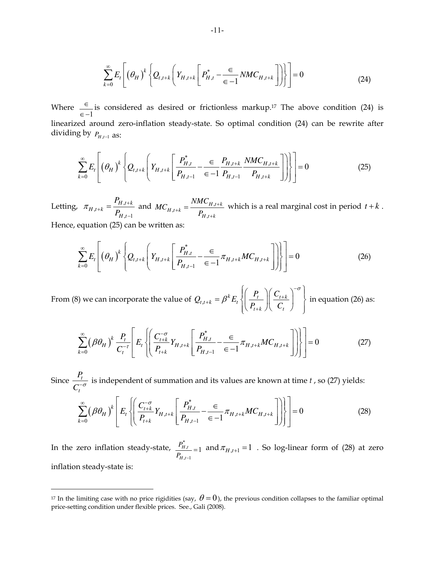$$
\sum_{k=0}^{\infty} E_t \left[ \left( \theta_H \right)^k \left\{ Q_{t,t+k} \left( Y_{H,t+k} \left[ P_{H,t}^* - \frac{\epsilon}{\epsilon - 1} N M C_{H,t+k} \right] \right) \right\} \right] = 0 \tag{24}
$$

Where 1 ∈ ∈ − is considered as desired or frictionless markup.17 The above condition (24) is linearized around zero-inflation steady-state. So optimal condition (24) can be rewrite after dividing by  $P_{H,t-1}$  as:

$$
\sum_{k=0}^{\infty} E_t \left[ \left( \theta_H \right)^k \left\{ Q_{t,t+k} \left( Y_{H,t+k} \left[ \frac{P_{H,t}^*}{P_{H,t-1}} - \frac{\epsilon}{\epsilon - 1} \frac{P_{H,t+k}}{P_{H,t-1}} \frac{NMC_{H,t+k}}{P_{H,t+k}} \right] \right) \right\} \right] = 0 \tag{25}
$$

Letting,  $\pi_{H,t+k} = \frac{H_H}{R}$  $,t-1$  $H, t+k$  $H, t+k$ *H t P*  $\pi_{H,t+k} = \frac{F_{H,t+k}}{P_{H,t-k}}$ + −  $=\frac{P_{H,t+k}}{R}$  and  $MC_{H,t+k} = \frac{NMC_{H,t}}{R}$ ,  $H, t+k$  $H, t+k$  $H, t+k$ *NMC MC P* + + +  $=\frac{NMC_{H,t+k}}{R}$  which is a real marginal cost in period  $t+k$ .

Hence, equation (25) can be written as:

$$
\sum_{k=0}^{\infty} E_t \left[ \left( \theta_H \right)^k \left\{ Q_{t,t+k} \left( Y_{H,t+k} \left[ \frac{P_{H,t}^*}{P_{H,t-1}} - \frac{\epsilon}{\epsilon - 1} \pi_{H,t+k} M C_{H,t+k} \right] \right) \right\} \right] = 0 \tag{26}
$$

From (8) we can incorporate the value of  $Q_{t,t+k} = \beta^k E_t \left\{ \left| \frac{F_t}{R} \right| \frac{C_{t+k}}{C} \right\}$  $_{t+k}$   $\left\langle \right\rangle \left\langle \right\rangle$   $\left\langle \right\rangle _{t}$  $Q_{t}$ <sub>t+k</sub> =  $\beta^k E_t \left\{ \frac{P_t}{P_t} \right\} \left( \frac{P_t}{P_t} \right)$  $P_{t+k}$   $\left|\left|\right|$   $C$ σ β −  $_{+k} = \beta^k E_t \left\{ \left| \frac{I_t}{I} \right| \left| \frac{C_{t+1}}{C_{t+1}} \right| \right\}$ +  $\left| \left( \begin{array}{c} P_t \end{array} \right) \left( C_{t+k} \right) \right|^{-\sigma}$  $=\beta^k E_t \left\{\left\lfloor \frac{I_t}{I} \right\rfloor \left\lfloor \frac{C_{t+k}}{C} \right\rfloor \right\}$  $\left(\left(P_{t+k}\right)\left\langle C_{t}\right\rangle\right)$ in equation (26) as:

$$
\sum_{k=0}^{\infty} (\beta \theta_H)^k \frac{P_t}{C_t^{-\tau}} \left[ E_t \left\{ \left( \frac{C_{t+k}^{-\sigma}}{P_{t+k}} Y_{H,t+k} \left[ \frac{P_{H,t}^*}{P_{H,t-1}} - \frac{\epsilon}{\epsilon - 1} \pi_{H,t+k} M C_{H,t+k} \right] \right) \right\} \right] = 0 \tag{27}
$$

Since  $\frac{I_t}{I}$ *t P*  $\frac{t}{C_t^{\sigma}}$  is independent of summation and its values are known at time *t* , so (27) yields:

$$
\sum_{k=0}^{\infty} (\beta \theta_H)^k \left[ E_t \left\{ \left( \frac{C_{t+k}^{-\sigma}}{P_{t+k}} Y_{H,t+k} \left[ \frac{P_{H,t}^*}{P_{H,t-1}} - \frac{\epsilon}{\epsilon - 1} \pi_{H,t+k} M C_{H,t+k} \right] \right) \right\} \right] = 0
$$
\n(28)

In the zero inflation steady-state,  $\frac{P_{H}^*}{P_{H}^*}$  $,t-1$  $\frac{H_{,t}}{H_{,t}} = 1$ *H t P*  $P_{H,t-}$  $_{=1}$  and  $\pi$ <sub>*H<sub>,t+1</sub>* = 1 . So log-linear form of (28) at zero</sub> inflation steady-state is:

<sup>&</sup>lt;sup>17</sup> In the limiting case with no price rigidities (say,  $\theta = 0$ ), the previous condition collapses to the familiar optimal price-setting condition under flexible prices. See., Gali (2008).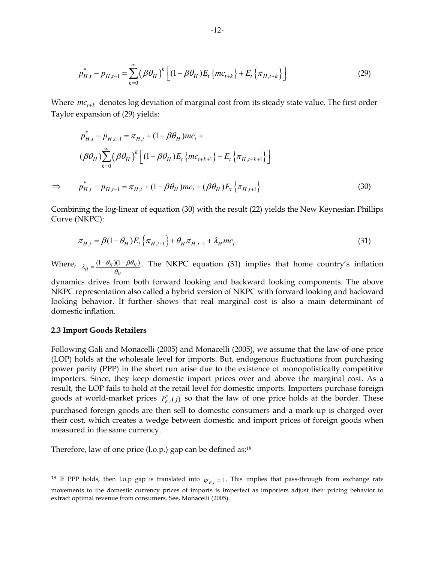$$
p_{H,t}^* - p_{H,t-1} = \sum_{k=0}^{\infty} (\beta \theta_H)^k \left[ (1 - \beta \theta_H) E_t \{ mc_{t+k} \} + E_t \{ \pi_{H,t+k} \} \right]
$$
(29)

Where  $mc_{t+k}$  denotes log deviation of marginal cost from its steady state value. The first order Taylor expansion of (29) yields:

$$
p_{H,t}^{*} - p_{H,t-1} = \pi_{H,t} + (1 - \beta \theta_{H})mc_{t} +
$$
  
\n
$$
(\beta \theta_{H}) \sum_{k=0}^{\infty} (\beta \theta_{H})^{k} \Big[ (1 - \beta \theta_{H})E_{t} \{mc_{t+k+1}\} + E_{t} \{\pi_{H,t+k+1}\}\Big]
$$
  
\n
$$
\Rightarrow p_{H,t}^{*} - p_{H,t-1} = \pi_{H,t} + (1 - \beta \theta_{H})mc_{t} + (\beta \theta_{H})E_{t} \{\pi_{H,t+1}\}
$$
\n(30)

Combining the log-linear of equation (30) with the result (22) yields the New Keynesian Phillips Curve (NKPC):

$$
\pi_{H,t} = \beta (1 - \theta_H) E_t \left\{ \pi_{H,t+1} \right\} + \theta_H \pi_{H,t-1} + \lambda_H m c_t \tag{31}
$$

Where,  $\lambda_H = \frac{(1 - \theta_H)(1 - \beta \theta_H)}{\theta_H}$ .  $\lambda_H = \frac{(1-\theta_H)(1-\beta\theta_H)}{\theta_H}$  $=\frac{(1-\theta_H)(1-\beta\theta_H)}{2}$ . The NKPC equation (31) implies that home country's inflation

dynamics drives from both forward looking and backward looking components. The above NKPC representation also called a hybrid version of NKPC with forward looking and backward looking behavior. It further shows that real marginal cost is also a main determinant of domestic inflation.

#### **2.3 Import Goods Retailers**

Following Gali and Monacelli (2005) and Monacelli (2005), we assume that the law-of-one price (LOP) holds at the wholesale level for imports. But, endogenous fluctuations from purchasing power parity (PPP) in the short run arise due to the existence of monopolistically competitive importers. Since, they keep domestic import prices over and above the marginal cost. As a result, the LOP fails to hold at the retail level for domestic imports. Importers purchase foreign goods at world-market prices  $P_{F,t}^*(j)$  so that the law of one price holds at the border. These purchased foreign goods are then sell to domestic consumers and a mark-up is charged over their cost, which creates a wedge between domestic and import prices of foreign goods when measured in the same currency.

Therefore, law of one price (l.o.p.) gap can be defined as:<sup>18</sup>

<sup>&</sup>lt;sup>18</sup> If PPP holds, then l.o.p gap is translated into  $\psi_{F,t} = 1$ . This implies that pass-through from exchange rate movements to the domestic currency prices of imports is imperfect as importers adjust their pricing behavior to extract optimal revenue from consumers. See, Monacelli (2005).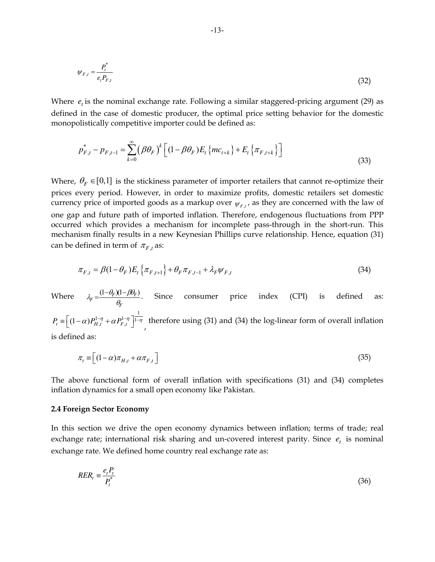$$
\psi_{F,t} = \frac{P_t^*}{e_t P_{F,t}}\tag{32}
$$

Where  $e_t$  is the nominal exchange rate. Following a similar staggered-pricing argument (29) as defined in the case of domestic producer, the optimal price setting behavior for the domestic monopolistically competitive importer could be defined as:

$$
p_{F,t}^{*} - p_{F,t-1} = \sum_{k=0}^{\infty} (\beta \theta_F)^{k} \left[ (1 - \beta \theta_F) E_t \{ mc_{t+k} \} + E_t \{ \pi_{F,t+k} \} \right]
$$
(33)

Where,  $\theta_F \in [0,1]$  is the stickiness parameter of importer retailers that cannot re-optimize their prices every period. However, in order to maximize profits, domestic retailers set domestic currency price of imported goods as a markup over  $\psi_{F,t}$ , as they are concerned with the law of one gap and future path of imported inflation. Therefore, endogenous fluctuations from PPP occurred which provides a mechanism for incomplete pass-through in the short-run. This mechanism finally results in a new Keynesian Phillips curve relationship. Hence, equation (31) can be defined in term of  $\pi_{F,t}$  as:

$$
\pi_{F,t} = \beta (1 - \theta_F) E_t \left\{ \pi_{F,t+1} \right\} + \theta_F \pi_{F,t-1} + \lambda_F \psi_{F,t}
$$
\n(34)

Where  $\lambda_F = \frac{(1 - \theta_F)(1 - \beta \theta_F)}{2}$ . *F*  $\lambda_E = \frac{(1-\theta_F)(1-\beta\theta_I)}{(\theta_E - \theta_F)^2}$ θ  $=\frac{(1-\theta_F)(1-\beta\theta_F)}{2}$ . Since consumer price index (CPI) is defined as: 1  $P_t = \left[ (1-\alpha) P_{H,t}^{1-\eta} + \alpha P_{F,t}^{1-\eta} \right]$ <sup> $\left[1-\eta \right]$ </sup>, therefore using (31) and (34) the log-linear form of overall inflation is defined as:

$$
\pi_t \equiv \left[ (1 - \alpha) \pi_{H,t} + \alpha \pi_{F,t} \right] \tag{35}
$$

The above functional form of overall inflation with specifications (31) and (34) completes inflation dynamics for a small open economy like Pakistan.

#### **2.4 Foreign Sector Economy**

In this section we drive the open economy dynamics between inflation; terms of trade; real exchange rate; international risk sharing and un-covered interest parity. Since  $e_t$  is nominal exchange rate. We defined home country real exchange rate as:

$$
RER_t \equiv \frac{e_t P_t}{P_t^*} \tag{36}
$$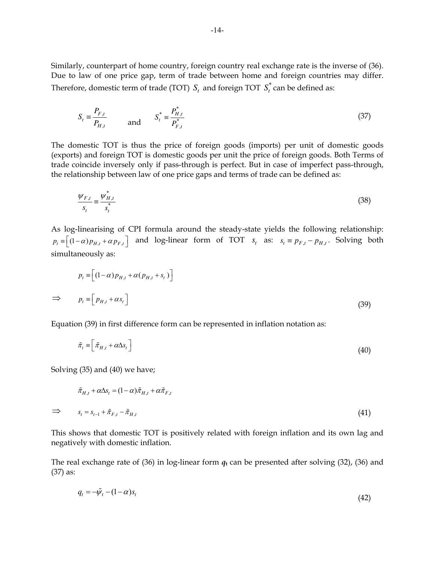Similarly, counterpart of home country, foreign country real exchange rate is the inverse of (36). Due to law of one price gap, term of trade between home and foreign countries may differ. Therefore, domestic term of trade (TOT)  $S_t$  and foreign TOT  $S_t^*$  can be defined as:

$$
S_t = \frac{P_{F,t}}{P_{H,t}} \quad \text{and} \quad S_t^* = \frac{P_{H,t}^*}{P_{F,t}^*} \tag{37}
$$

The domestic TOT is thus the price of foreign goods (imports) per unit of domestic goods (exports) and foreign TOT is domestic goods per unit the price of foreign goods. Both Terms of trade coincide inversely only if pass-through is perfect. But in case of imperfect pass-through, the relationship between law of one price gaps and terms of trade can be defined as:

$$
\frac{\psi_{F,t}}{s_t} \equiv \frac{\psi_{H,t}^*}{s_t^*} \tag{38}
$$

As log-linearising of CPI formula around the steady-state yields the following relationship:  $p_t \equiv [(1-\alpha)p_{H,t} + \alpha p_{F,t}]$  and log-linear form of TOT  $s_t$  as:  $s_t \equiv p_{F,t} - p_{H,t}$ . Solving both simultaneously as:

$$
p_t \equiv \left[ (1 - \alpha) p_{H,t} + \alpha (p_{H,t} + s_t) \right]
$$
  
\n
$$
\Rightarrow p_t \equiv \left[ p_{H,t} + \alpha s_t \right]
$$
\n(39)

Equation (39) in first difference form can be represented in inflation notation as:

$$
\tilde{\pi}_t \equiv \left[ \tilde{\pi}_{H,t} + \alpha \Delta s_t \right] \tag{40}
$$

Solving (35) and (40) we have;

$$
\tilde{\pi}_{H,t} + \alpha \Delta s_t = (1 - \alpha) \tilde{\pi}_{H,t} + \alpha \tilde{\pi}_{F,t}
$$
\n
$$
\Rightarrow \qquad s_t = s_{t-1} + \tilde{\pi}_{F,t} - \tilde{\pi}_{H,t} \tag{41}
$$

This shows that domestic TOT is positively related with foreign inflation and its own lag and negatively with domestic inflation.

The real exchange rate of (36) in log-linear form  $q_t$  can be presented after solving (32), (36) and (37) as:

$$
q_t = -\tilde{\psi}_t - (1 - \alpha)s_t \tag{42}
$$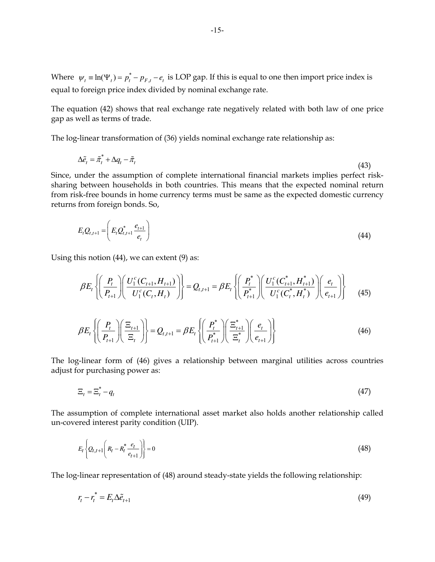Where  $\psi_t = \ln(\Psi_t) = p_t^* - p_{F,t} - e_t$  is LOP gap. If this is equal to one then import price index is equal to foreign price index divided by nominal exchange rate.

The equation (42) shows that real exchange rate negatively related with both law of one price gap as well as terms of trade.

The log-linear transformation of (36) yields nominal exchange rate relationship as:

$$
\Delta \tilde{e}_t = \tilde{\pi}_t^* + \Delta q_t - \tilde{\pi}_t \tag{43}
$$

Since, under the assumption of complete international financial markets implies perfect risksharing between households in both countries. This means that the expected nominal return from risk-free bounds in home currency terms must be same as the expected domestic currency returns from foreign bonds. So,

$$
E_{t}Q_{t,t+1} = \left(E_{t}Q_{t,t+1}^{*} \frac{e_{t+1}}{e_{t}}\right)
$$
\n(44)

Using this notion (44), we can extent (9) as:

$$
\beta E_t \left\{ \left( \frac{P_t}{P_{t+1}} \right) \left( \frac{U_1^c(C_{t+1}, H_{t+1})}{U_1^c(C_t, H_t)} \right) \right\} = Q_{t,t+1} = \beta E_t \left\{ \left( \frac{P_t^*}{P_{t+1}^*} \right) \left( \frac{U_1^c(C_{t+1}^*, H_{t+1}^*)}{U_1^c(C_t^*, H_t^*)} \right) \left( \frac{e_t}{e_{t+1}} \right) \right\} \tag{45}
$$

$$
\beta E_t \left\{ \left( \frac{P_t}{P_{t+1}} \right) \left( \frac{\Xi_{t+1}}{\Xi_t} \right) \right\} = Q_{t,t+1} = \beta E_t \left\{ \left( \frac{P_t^*}{P_{t+1}^*} \right) \left( \frac{\Xi_{t+1}^*}{\Xi_t^*} \right) \left( \frac{e_t}{e_{t+1}} \right) \right\} \tag{46}
$$

The log-linear form of (46) gives a relationship between marginal utilities across countries adjust for purchasing power as:

$$
\Xi_t = \Xi_t^* - q_t \tag{47}
$$

The assumption of complete international asset market also holds another relationship called un-covered interest parity condition (UIP).

$$
E_t\left\{Q_{t,t+1}\left(R_t - R_t^* \frac{e_t}{e_{t+1}}\right)\right\} = 0\tag{48}
$$

The log-linear representation of (48) around steady-state yields the following relationship:

$$
r_t - r_t^* = E_t \Delta \tilde{e}_{t+1} \tag{49}
$$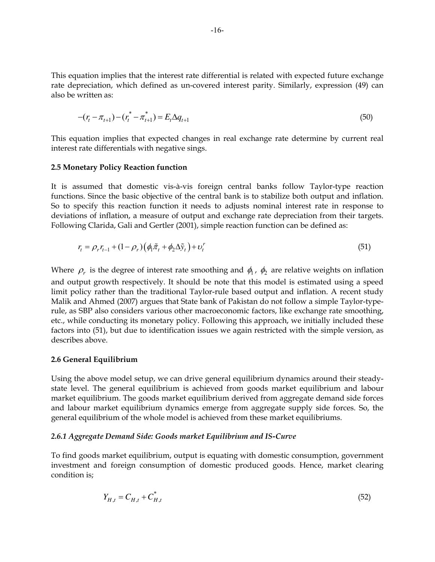This equation implies that the interest rate differential is related with expected future exchange rate depreciation, which defined as un-covered interest parity. Similarly, expression (49) can also be written as:

$$
-(r_t - \pi_{t+1}) - (r_t^* - \pi_{t+1}^*) = E_t \Delta q_{t+1}
$$
\n(50)

This equation implies that expected changes in real exchange rate determine by current real interest rate differentials with negative sings.

#### **2.5 Monetary Policy Reaction function**

It is assumed that domestic vis-à-vis foreign central banks follow Taylor-type reaction functions. Since the basic objective of the central bank is to stabilize both output and inflation. So to specify this reaction function it needs to adjusts nominal interest rate in response to deviations of inflation, a measure of output and exchange rate depreciation from their targets. Following Clarida, Gali and Gertler (2001), simple reaction function can be defined as:

$$
r_t = \rho_r r_{t-1} + (1 - \rho_r) \left( \phi_t \tilde{\pi}_t + \phi_2 \Delta \tilde{y}_t \right) + \nu_t^r \tag{51}
$$

Where  $\rho_r$  is the degree of interest rate smoothing and  $\phi_1$ ,  $\phi_2$  are relative weights on inflation and output growth respectively. It should be note that this model is estimated using a speed limit policy rather than the traditional Taylor-rule based output and inflation. A recent study Malik and Ahmed (2007) argues that State bank of Pakistan do not follow a simple Taylor-typerule, as SBP also considers various other macroeconomic factors, like exchange rate smoothing, etc., while conducting its monetary policy. Following this approach, we initially included these factors into (51), but due to identification issues we again restricted with the simple version, as describes above.

#### **2.6 General Equilibrium**

Using the above model setup, we can drive general equilibrium dynamics around their steadystate level. The general equilibrium is achieved from goods market equilibrium and labour market equilibrium. The goods market equilibrium derived from aggregate demand side forces and labour market equilibrium dynamics emerge from aggregate supply side forces. So, the general equilibrium of the whole model is achieved from these market equilibriums.

#### *2.6.1 Aggregate Demand Side: Goods market Equilibrium and IS-Curve*

To find goods market equilibrium, output is equating with domestic consumption, government investment and foreign consumption of domestic produced goods. Hence, market clearing condition is;

$$
Y_{H,t} = C_{H,t} + C_{H,t}^* \tag{52}
$$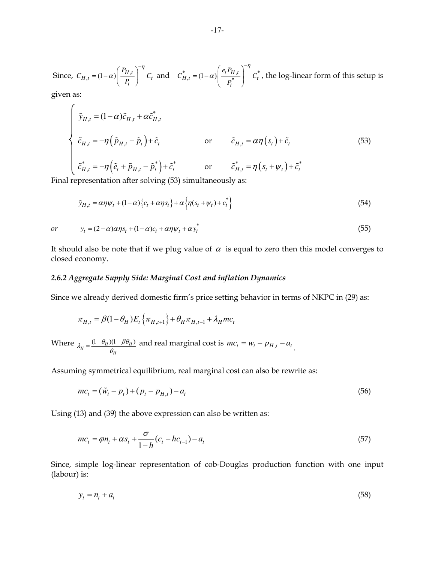Since,  $C_{H,t} = (1 - \alpha) \left( \frac{P_{H,t}}{P_t} \right) C_t$ *P*  $C_{H,t} = (1-\alpha) \left( \frac{H,t}{P_t} \right) C$ η α  $= (1 - \alpha) \left( \frac{P_{H,t}}{P_t} \right)^{-\eta} C_t$  and  $C_{H,t}^* = (1 - \alpha) \left( \frac{e_t P_{H,t}}{P_t^*} \right)^{-\eta} C_t^*$ *t*  $e_t P$  $C_{H,t}^* = (1-\alpha) \left| \frac{t-H,t}{*} \right| C$ *P* η α  $\left(e_{t}P_{H,t}\right)^{-}$  $=(1-\alpha)\left(\frac{t^2 - h\mu}{p_t^*}\right)$   $C_t^*$ , the log-linear form of this setup is

given as:

 $\epsilon$ 

$$
\begin{cases}\n\tilde{y}_{H,t} = (1-\alpha)\tilde{c}_{H,t} + \alpha \tilde{c}_{H,t}^* \\
\tilde{c}_{H,t} = -\eta \left( \tilde{p}_{H,t} - \tilde{p}_t \right) + \tilde{c}_t\n\end{cases}\n\text{ or } \tilde{c}_{H,t} = \alpha \eta \left( s_t \right) + \tilde{c}_t\n\tag{53}
$$
\n
$$
\tilde{c}_{H,t}^* = -\eta \left( \tilde{e}_t + \tilde{p}_{H,t} - \tilde{p}_t^* \right) + \tilde{c}_t^*\n\text{ or } \tilde{c}_{H,t}^* = \eta \left( s_t + \psi_t \right) + \tilde{c}_t^*\n\end{cases}
$$

Final representation after solving (53) simultaneously as:

$$
\tilde{y}_{H,t} = \alpha \eta \psi_t + (1 - \alpha) \{c_t + \alpha \eta s_t\} + \alpha \left\{ \eta (s_t + \psi_t) + c_t^* \right\} \tag{54}
$$

or 
$$
y_t = (2 - \alpha)\alpha \eta s_t + (1 - \alpha)c_t + \alpha \eta \psi_t + \alpha y_t^* \tag{55}
$$

It should also be note that if we plug value of  $\alpha$  is equal to zero then this model converges to closed economy.

#### *2.6.2 Aggregate Supply Side: Marginal Cost and inflation Dynamics*

Since we already derived domestic firm's price setting behavior in terms of NKPC in (29) as:

$$
\pi_{H,t} = \beta (1 - \theta_H) E_t \{ \pi_{H,t+1} \} + \theta_H \pi_{H,t-1} + \lambda_H m c_t
$$

Where  $\lambda_H = \frac{(1 - \theta_H)(1 - \beta \theta_H)}{\theta_H}$  $\lambda_H = \frac{(1-\theta_H)(1-\beta\theta_H)}{\theta_H}$  $=\frac{(1-\theta_H)(1-\beta\theta_H)}{\theta_H}$  and real marginal cost is  $mc_t = w_t - p_{H,t} - a_t$ .

Assuming symmetrical equilibrium, real marginal cost can also be rewrite as:

$$
mc_t = (\tilde{w}_t - p_t) + (p_t - p_{H,t}) - a_t
$$
\n(56)

Using (13) and (39) the above expression can also be written as:

$$
mc_t = \varphi n_t + \alpha s_t + \frac{\sigma}{1 - h} (c_t - h c_{t-1}) - a_t
$$
\n(57)

Since, simple log-linear representation of cob-Douglas production function with one input (labour) is:

$$
y_t = n_t + a_t \tag{58}
$$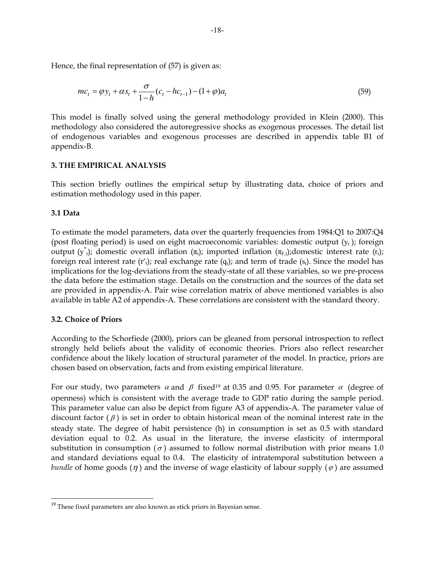Hence, the final representation of (57) is given as:

$$
mc_t = \varphi y_t + \alpha s_t + \frac{\sigma}{1 - h} (c_t - h c_{t-1}) - (1 + \varphi) a_t
$$
\n(59)

This model is finally solved using the general methodology provided in Klein (2000). This methodology also considered the autoregressive shocks as exogenous processes. The detail list of endogenous variables and exogenous processes are described in appendix table B1 of appendix-B.

# **3. THE EMPIRICAL ANALYSIS**

This section briefly outlines the empirical setup by illustrating data, choice of priors and estimation methodology used in this paper.

# **3.1 Data**

To estimate the model parameters, data over the quarterly frequencies from 1984:Q1 to 2007:Q4 (post floating period) is used on eight macroeconomic variables: domestic output  $(y_t)$ ; foreign output (y<sup>\*</sup><sub>t</sub>); domestic overall inflation ( $\pi$ <sub>t</sub>); imported inflation ( $\pi$ <sub>F,t</sub>); domestic interest rate (r<sub>t</sub>); foreign real interest rate ( $r<sup>*</sup><sub>t</sub>$ ); real exchange rate (q<sub>t</sub>); and term of trade (s<sub>t</sub>). Since the model has implications for the log-deviations from the steady-state of all these variables, so we pre-process the data before the estimation stage. Details on the construction and the sources of the data set are provided in appendix-A. Pair wise correlation matrix of above mentioned variables is also available in table A2 of appendix-A. These correlations are consistent with the standard theory.

# **3.2. Choice of Priors**

According to the Schorfiede (2000), priors can be gleaned from personal introspection to reflect strongly held beliefs about the validity of economic theories. Priors also reflect researcher confidence about the likely location of structural parameter of the model. In practice, priors are chosen based on observation, facts and from existing empirical literature.

For our study, two parameters  $\alpha$  and  $\beta$  fixed<sup>19</sup> at 0.35 and 0.95. For parameter  $\alpha$  (degree of openness) which is consistent with the average trade to GDP ratio during the sample period. This parameter value can also be depict from figure A3 of appendix-A. The parameter value of discount factor  $(\beta)$  is set in order to obtain historical mean of the nominal interest rate in the steady state. The degree of habit persistence (h) in consumption is set as 0.5 with standard deviation equal to 0.2. As usual in the literature, the inverse elasticity of intermporal substitution in consumption ( $\sigma$ ) assumed to follow normal distribution with prior means 1.0 and standard deviations equal to 0.4. The elasticity of intratemporal substitution between a *bundle* of home goods  $(\eta)$  and the inverse of wage elasticity of labour supply  $(\varphi)$  are assumed

 $19$  These fixed parameters are also known as stick priors in Bayesian sense.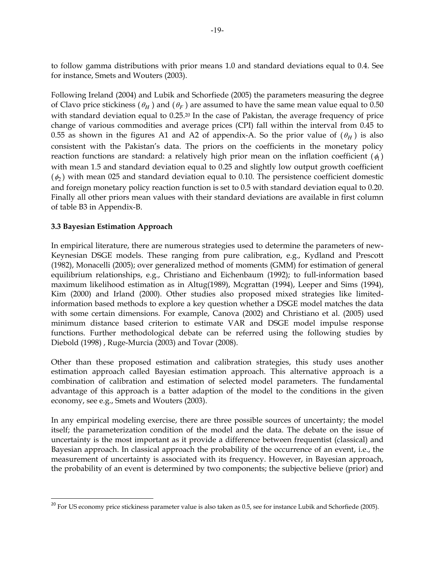to follow gamma distributions with prior means 1.0 and standard deviations equal to 0.4. See for instance, Smets and Wouters (2003).

Following Ireland (2004) and Lubik and Schorfiede (2005) the parameters measuring the degree of Clavo price stickiness  $(\theta_H)$  and  $(\theta_F)$  are assumed to have the same mean value equal to 0.50 with standard deviation equal to 0.25.<sup>20</sup> In the case of Pakistan, the average frequency of price change of various commodities and average prices (CPI) fall within the interval from 0.45 to 0.55 as shown in the figures A1 and A2 of appendix-A. So the prior value of  $(\theta_H)$  is also consistent with the Pakistan's data. The priors on the coefficients in the monetary policy reaction functions are standard: a relatively high prior mean on the inflation coefficient  $(\phi_{\rm l})$ with mean 1.5 and standard deviation equal to 0.25 and slightly low output growth coefficient  $(\phi_2)$  with mean 025 and standard deviation equal to 0.10. The persistence coefficient domestic and foreign monetary policy reaction function is set to 0.5 with standard deviation equal to 0.20. Finally all other priors mean values with their standard deviations are available in first column of table B3 in Appendix-B.

# **3.3 Bayesian Estimation Approach**

In empirical literature, there are numerous strategies used to determine the parameters of new-Keynesian DSGE models. These ranging from pure calibration, e.g., Kydland and Prescott (1982), Monacelli (2005); over generalized method of moments (GMM) for estimation of general equilibrium relationships, e.g., Christiano and Eichenbaum (1992); to full-information based maximum likelihood estimation as in Altug(1989), Mcgrattan (1994), Leeper and Sims (1994), Kim (2000) and Irland (2000). Other studies also proposed mixed strategies like limitedinformation based methods to explore a key question whether a DSGE model matches the data with some certain dimensions. For example, Canova (2002) and Christiano et al. (2005) used minimum distance based criterion to estimate VAR and DSGE model impulse response functions. Further methodological debate can be referred using the following studies by Diebold (1998) , Ruge-Murcia (2003) and Tovar (2008).

Other than these proposed estimation and calibration strategies, this study uses another estimation approach called Bayesian estimation approach. This alternative approach is a combination of calibration and estimation of selected model parameters. The fundamental advantage of this approach is a batter adaption of the model to the conditions in the given economy, see e.g., Smets and Wouters (2003).

In any empirical modeling exercise, there are three possible sources of uncertainty; the model itself; the parameterization condition of the model and the data. The debate on the issue of uncertainty is the most important as it provide a difference between frequentist (classical) and Bayesian approach. In classical approach the probability of the occurrence of an event, i.e., the measurement of uncertainty is associated with its frequency. However, in Bayesian approach, the probability of an event is determined by two components; the subjective believe (prior) and

 $20$  For US economy price stickiness parameter value is also taken as 0.5, see for instance Lubik and Schorfiede (2005).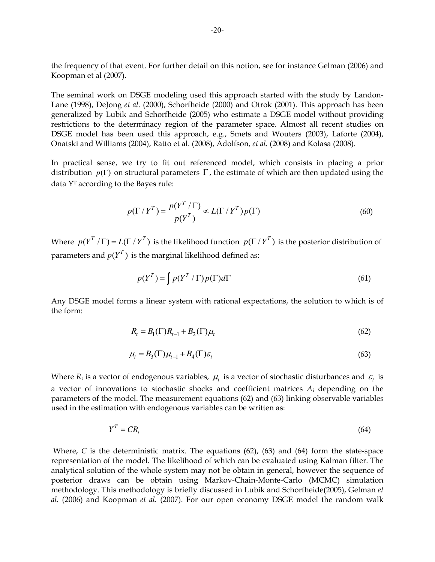the frequency of that event. For further detail on this notion, see for instance Gelman (2006) and Koopman et al (2007).

The seminal work on DSGE modeling used this approach started with the study by Landon-Lane (1998), DeJong *et al*. (2000), Schorfheide (2000) and Otrok (2001). This approach has been generalized by Lubik and Schorfheide (2005) who estimate a DSGE model without providing restrictions to the determinacy region of the parameter space. Almost all recent studies on DSGE model has been used this approach, e.g., Smets and Wouters (2003), Laforte (2004), Onatski and Williams (2004), Ratto et al. (2008), Adolfson, *et al.* (2008) and Kolasa (2008).

In practical sense, we try to fit out referenced model, which consists in placing a prior distribution  $p(\Gamma)$  on structural parameters  $\Gamma$ , the estimate of which are then updated using the data YT according to the Bayes rule:

$$
p(\Gamma / Y^T) = \frac{p(Y^T / \Gamma)}{p(Y^T)} \propto L(\Gamma / Y^T) p(\Gamma)
$$
\n(60)

Where  $p(Y^T / \Gamma) = L(\Gamma / Y^T)$  is the likelihood function  $p(\Gamma / Y^T)$  is the posterior distribution of parameters and  $p(Y^T)$  is the marginal likelihood defined as:

$$
p(Y^T) = \int p(Y^T / \Gamma) p(\Gamma) d\Gamma \tag{61}
$$

Any DSGE model forms a linear system with rational expectations, the solution to which is of the form:

$$
R_t = B_1(\Gamma)R_{t-1} + B_2(\Gamma)\mu_t
$$
\n
$$
\tag{62}
$$

$$
\mu_t = B_3(\Gamma)\mu_{t-1} + B_4(\Gamma)\varepsilon_t \tag{63}
$$

Where  $R_t$  is a vector of endogenous variables,  $\mu_t$  is a vector of stochastic disturbances and  $\varepsilon_t$  is a vector of innovations to stochastic shocks and coefficient matrices *A*i depending on the parameters of the model. The measurement equations (62) and (63) linking observable variables used in the estimation with endogenous variables can be written as:

$$
Y^T = CR_t \tag{64}
$$

Where, C is the deterministic matrix. The equations (62), (63) and (64) form the state-space representation of the model. The likelihood of which can be evaluated using Kalman filter. The analytical solution of the whole system may not be obtain in general, however the sequence of posterior draws can be obtain using Markov-Chain-Monte-Carlo (MCMC) simulation methodology. This methodology is briefly discussed in Lubik and Schorfheide(2005), Gelman *et al.* (2006) and Koopman *et al.* (2007). For our open economy DSGE model the random walk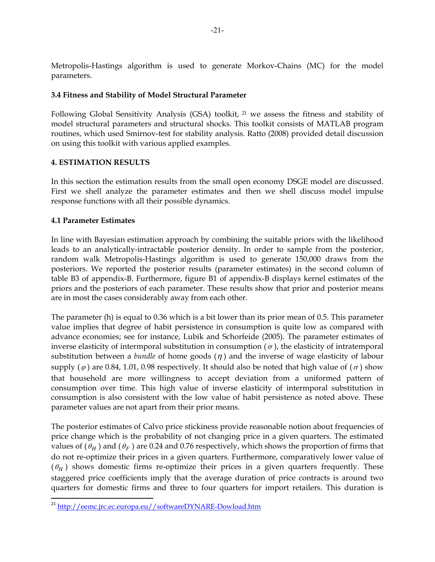Metropolis-Hastings algorithm is used to generate Morkov-Chains (MC) for the model parameters.

# **3.4 Fitness and Stability of Model Structural Parameter**

Following Global Sensitivity Analysis (GSA) toolkit, 21 we assess the fitness and stability of model structural parameters and structural shocks. This toolkit consists of MATLAB program routines, which used Smirnov-test for stability analysis. Ratto (2008) provided detail discussion on using this toolkit with various applied examples.

# **4. ESTIMATION RESULTS**

In this section the estimation results from the small open economy DSGE model are discussed. First we shell analyze the parameter estimates and then we shell discuss model impulse response functions with all their possible dynamics.

# **4.1 Parameter Estimates**

In line with Bayesian estimation approach by combining the suitable priors with the likelihood leads to an analytically-intractable posterior density. In order to sample from the posterior, random walk Metropolis-Hastings algorithm is used to generate 150,000 draws from the posteriors. We reported the posterior results (parameter estimates) in the second column of table B3 of appendix-B. Furthermore, figure B1 of appendix-B displays kernel estimates of the priors and the posteriors of each parameter. These results show that prior and posterior means are in most the cases considerably away from each other.

The parameter (h) is equal to 0.36 which is a bit lower than its prior mean of 0.5. This parameter value implies that degree of habit persistence in consumption is quite low as compared with advance economies; see for instance, Lubik and Schorfeide (2005). The parameter estimates of inverse elasticity of intermporal substitution in consumption  $(\sigma)$ , the elasticity of intratemporal substitution between a *bundle* of home goods  $(\eta)$  and the inverse of wage elasticity of labour supply ( $\varphi$ ) are 0.84, 1.01, 0.98 respectively. It should also be noted that high value of ( $\sigma$ ) show that household are more willingness to accept deviation from a uniformed pattern of consumption over time. This high value of inverse elasticity of intermporal substitution in consumption is also consistent with the low value of habit persistence as noted above. These parameter values are not apart from their prior means.

The posterior estimates of Calvo price stickiness provide reasonable notion about frequencies of price change which is the probability of not changing price in a given quarters. The estimated values of  $(\theta_H)$  and  $(\theta_F)$  are 0.24 and 0.76 respectively, which shows the proportion of firms that do not re-optimize their prices in a given quarters. Furthermore, comparatively lower value of  $(\theta_H)$  shows domestic firms re-optimize their prices in a given quarters frequently. These staggered price coefficients imply that the average duration of price contracts is around two quarters for domestic firms and three to four quarters for import retailers. This duration is

<sup>&</sup>lt;sup>21</sup> http://eemc.jrc.ec.europa.eu//softwareDYNARE-Dowload.htm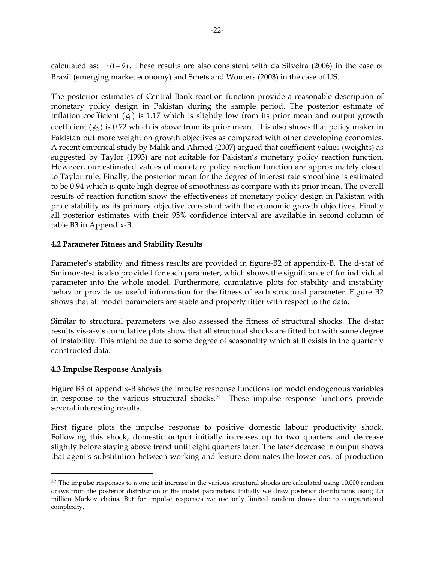calculated as:  $1/(1 - \theta)$ . These results are also consistent with da Silveira (2006) in the case of Brazil (emerging market economy) and Smets and Wouters (2003) in the case of US.

The posterior estimates of Central Bank reaction function provide a reasonable description of monetary policy design in Pakistan during the sample period. The posterior estimate of inflation coefficient  $(\phi_1)$  is 1.17 which is slightly low from its prior mean and output growth coefficient  $(\phi_2)$  is 0.72 which is above from its prior mean. This also shows that policy maker in Pakistan put more weight on growth objectives as compared with other developing economies. A recent empirical study by Malik and Ahmed (2007) argued that coefficient values (weights) as suggested by Taylor (1993) are not suitable for Pakistan's monetary policy reaction function. However, our estimated values of monetary policy reaction function are approximately closed to Taylor rule. Finally, the posterior mean for the degree of interest rate smoothing is estimated to be 0.94 which is quite high degree of smoothness as compare with its prior mean. The overall results of reaction function show the effectiveness of monetary policy design in Pakistan with price stability as its primary objective consistent with the economic growth objectives. Finally all posterior estimates with their 95% confidence interval are available in second column of table B3 in Appendix-B.

# **4.2 Parameter Fitness and Stability Results**

Parameter's stability and fitness results are provided in figure-B2 of appendix-B. The d-stat of Smirnov-test is also provided for each parameter, which shows the significance of for individual parameter into the whole model. Furthermore, cumulative plots for stability and instability behavior provide us useful information for the fitness of each structural parameter. Figure B2 shows that all model parameters are stable and properly fitter with respect to the data.

Similar to structural parameters we also assessed the fitness of structural shocks. The d-stat results vis-à-vis cumulative plots show that all structural shocks are fitted but with some degree of instability. This might be due to some degree of seasonality which still exists in the quarterly constructed data.

# **4.3 Impulse Response Analysis**

Figure B3 of appendix-B shows the impulse response functions for model endogenous variables in response to the various structural shocks.22 These impulse response functions provide several interesting results.

First figure plots the impulse response to positive domestic labour productivity shock. Following this shock, domestic output initially increases up to two quarters and decrease slightly before staying above trend until eight quarters later. The later decrease in output shows that agent's substitution between working and leisure dominates the lower cost of production

<sup>&</sup>lt;sup>22</sup> The impulse responses to a one unit increase in the various structural shocks are calculated using 10,000 random draws from the posterior distribution of the model parameters. Initially we draw posterior distributions using 1.5 million Markov chains. But for impulse responses we use only limited random draws due to computational complexity.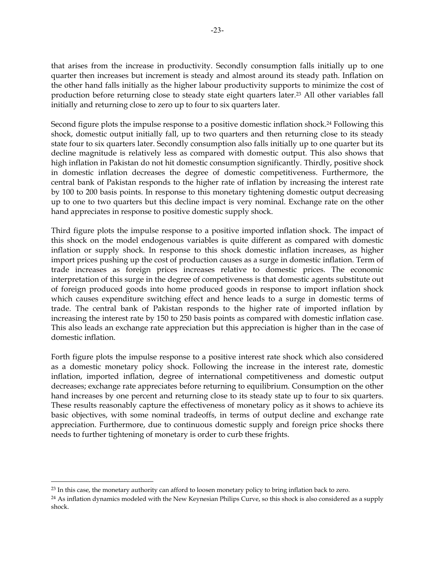that arises from the increase in productivity. Secondly consumption falls initially up to one quarter then increases but increment is steady and almost around its steady path. Inflation on the other hand falls initially as the higher labour productivity supports to minimize the cost of production before returning close to steady state eight quarters later.23 All other variables fall initially and returning close to zero up to four to six quarters later.

Second figure plots the impulse response to a positive domestic inflation shock.<sup>24</sup> Following this shock, domestic output initially fall, up to two quarters and then returning close to its steady state four to six quarters later. Secondly consumption also falls initially up to one quarter but its decline magnitude is relatively less as compared with domestic output. This also shows that high inflation in Pakistan do not hit domestic consumption significantly. Thirdly, positive shock in domestic inflation decreases the degree of domestic competitiveness. Furthermore, the central bank of Pakistan responds to the higher rate of inflation by increasing the interest rate by 100 to 200 basis points. In response to this monetary tightening domestic output decreasing up to one to two quarters but this decline impact is very nominal. Exchange rate on the other hand appreciates in response to positive domestic supply shock.

Third figure plots the impulse response to a positive imported inflation shock. The impact of this shock on the model endogenous variables is quite different as compared with domestic inflation or supply shock. In response to this shock domestic inflation increases, as higher import prices pushing up the cost of production causes as a surge in domestic inflation. Term of trade increases as foreign prices increases relative to domestic prices. The economic interpretation of this surge in the degree of competiveness is that domestic agents substitute out of foreign produced goods into home produced goods in response to import inflation shock which causes expenditure switching effect and hence leads to a surge in domestic terms of trade. The central bank of Pakistan responds to the higher rate of imported inflation by increasing the interest rate by 150 to 250 basis points as compared with domestic inflation case. This also leads an exchange rate appreciation but this appreciation is higher than in the case of domestic inflation.

Forth figure plots the impulse response to a positive interest rate shock which also considered as a domestic monetary policy shock. Following the increase in the interest rate, domestic inflation, imported inflation, degree of international competitiveness and domestic output decreases; exchange rate appreciates before returning to equilibrium. Consumption on the other hand increases by one percent and returning close to its steady state up to four to six quarters. These results reasonably capture the effectiveness of monetary policy as it shows to achieve its basic objectives, with some nominal tradeoffs, in terms of output decline and exchange rate appreciation. Furthermore, due to continuous domestic supply and foreign price shocks there needs to further tightening of monetary is order to curb these frights.

<sup>23</sup> In this case, the monetary authority can afford to loosen monetary policy to bring inflation back to zero.

<sup>&</sup>lt;sup>24</sup> As inflation dynamics modeled with the New Keynesian Philips Curve, so this shock is also considered as a supply shock.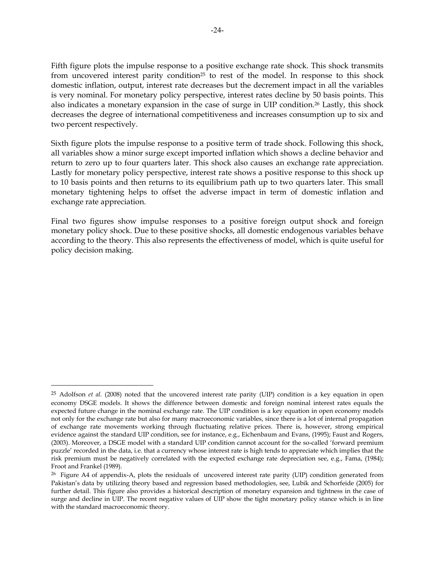Fifth figure plots the impulse response to a positive exchange rate shock. This shock transmits from uncovered interest parity condition<sup>25</sup> to rest of the model. In response to this shock domestic inflation, output, interest rate decreases but the decrement impact in all the variables is very nominal. For monetary policy perspective, interest rates decline by 50 basis points. This also indicates a monetary expansion in the case of surge in UIP condition.26 Lastly, this shock decreases the degree of international competitiveness and increases consumption up to six and two percent respectively.

Sixth figure plots the impulse response to a positive term of trade shock. Following this shock, all variables show a minor surge except imported inflation which shows a decline behavior and return to zero up to four quarters later. This shock also causes an exchange rate appreciation. Lastly for monetary policy perspective, interest rate shows a positive response to this shock up to 10 basis points and then returns to its equilibrium path up to two quarters later. This small monetary tightening helps to offset the adverse impact in term of domestic inflation and exchange rate appreciation.

Final two figures show impulse responses to a positive foreign output shock and foreign monetary policy shock. Due to these positive shocks, all domestic endogenous variables behave according to the theory. This also represents the effectiveness of model, which is quite useful for policy decision making.

<sup>25</sup> Adolfson *et al.* (2008) noted that the uncovered interest rate parity (UIP) condition is a key equation in open economy DSGE models. It shows the difference between domestic and foreign nominal interest rates equals the expected future change in the nominal exchange rate. The UIP condition is a key equation in open economy models not only for the exchange rate but also for many macroeconomic variables, since there is a lot of internal propagation of exchange rate movements working through fluctuating relative prices. There is, however, strong empirical evidence against the standard UIP condition, see for instance, e.g., Eichenbaum and Evans, (1995); Faust and Rogers, (2003). Moreover, a DSGE model with a standard UIP condition cannot account for the so-called 'forward premium puzzle' recorded in the data, i.e. that a currency whose interest rate is high tends to appreciate which implies that the risk premium must be negatively correlated with the expected exchange rate depreciation see, e.g., Fama, (1984); Froot and Frankel (1989).

<sup>&</sup>lt;sup>26</sup> Figure A4 of appendix-A, plots the residuals of uncovered interest rate parity (UIP) condition generated from Pakistan's data by utilizing theory based and regression based methodologies, see, Lubik and Schorfeide (2005) for further detail. This figure also provides a historical description of monetary expansion and tightness in the case of surge and decline in UIP. The recent negative values of UIP show the tight monetary policy stance which is in line with the standard macroeconomic theory.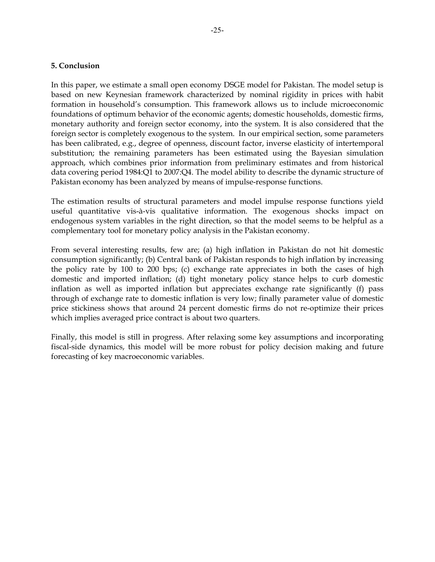# **5. Conclusion**

In this paper, we estimate a small open economy DSGE model for Pakistan. The model setup is based on new Keynesian framework characterized by nominal rigidity in prices with habit formation in household's consumption. This framework allows us to include microeconomic foundations of optimum behavior of the economic agents; domestic households, domestic firms, monetary authority and foreign sector economy, into the system. It is also considered that the foreign sector is completely exogenous to the system. In our empirical section, some parameters has been calibrated, e.g., degree of openness, discount factor, inverse elasticity of intertemporal substitution; the remaining parameters has been estimated using the Bayesian simulation approach, which combines prior information from preliminary estimates and from historical data covering period 1984:Q1 to 2007:Q4. The model ability to describe the dynamic structure of Pakistan economy has been analyzed by means of impulse-response functions.

The estimation results of structural parameters and model impulse response functions yield useful quantitative vis-à-vis qualitative information. The exogenous shocks impact on endogenous system variables in the right direction, so that the model seems to be helpful as a complementary tool for monetary policy analysis in the Pakistan economy.

From several interesting results, few are; (a) high inflation in Pakistan do not hit domestic consumption significantly; (b) Central bank of Pakistan responds to high inflation by increasing the policy rate by 100 to 200 bps; (c) exchange rate appreciates in both the cases of high domestic and imported inflation; (d) tight monetary policy stance helps to curb domestic inflation as well as imported inflation but appreciates exchange rate significantly (f) pass through of exchange rate to domestic inflation is very low; finally parameter value of domestic price stickiness shows that around 24 percent domestic firms do not re-optimize their prices which implies averaged price contract is about two quarters.

Finally, this model is still in progress. After relaxing some key assumptions and incorporating fiscal-side dynamics, this model will be more robust for policy decision making and future forecasting of key macroeconomic variables.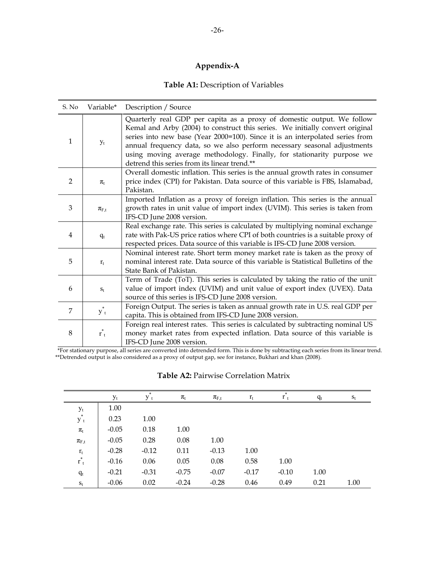# **Appendix-A**

# **Table A1:** Description of Variables

| S. No          | Variable*          | Description / Source                                                                                                                                                                                                                                                                                                                                                                                                                           |
|----------------|--------------------|------------------------------------------------------------------------------------------------------------------------------------------------------------------------------------------------------------------------------------------------------------------------------------------------------------------------------------------------------------------------------------------------------------------------------------------------|
| $\mathbf{1}$   | $y_t$              | Quarterly real GDP per capita as a proxy of domestic output. We follow<br>Kemal and Arby (2004) to construct this series. We initially convert original<br>series into new base (Year 2000=100). Since it is an interpolated series from<br>annual frequency data, so we also perform necessary seasonal adjustments<br>using moving average methodology. Finally, for stationarity purpose we<br>detrend this series from its linear trend.** |
| $\overline{2}$ | $\pi_{t}$          | Overall domestic inflation. This series is the annual growth rates in consumer<br>price index (CPI) for Pakistan. Data source of this variable is FBS, Islamabad,<br>Pakistan.                                                                                                                                                                                                                                                                 |
| 3              | $\pi_{\text{F,t}}$ | Imported Inflation as a proxy of foreign inflation. This series is the annual<br>growth rates in unit value of import index (UVIM). This series is taken from<br>IFS-CD June 2008 version.                                                                                                                                                                                                                                                     |
| $\overline{4}$ | $q_t$              | Real exchange rate. This series is calculated by multiplying nominal exchange<br>rate with Pak-US price ratios where CPI of both countries is a suitable proxy of<br>respected prices. Data source of this variable is IFS-CD June 2008 version.                                                                                                                                                                                               |
| 5              | $r_{t}$            | Nominal interest rate. Short term money market rate is taken as the proxy of<br>nominal interest rate. Data source of this variable is Statistical Bulletins of the<br>State Bank of Pakistan.                                                                                                                                                                                                                                                 |
| 6              | $S_t$              | Term of Trade (ToT). This series is calculated by taking the ratio of the unit<br>value of import index (UVIM) and unit value of export index (UVEX). Data<br>source of this series is IFS-CD June 2008 version.                                                                                                                                                                                                                               |
| $\overline{7}$ | $y^*$ <sub>t</sub> | Foreign Output. The series is taken as annual growth rate in U.S. real GDP per<br>capita. This is obtained from IFS-CD June 2008 version.                                                                                                                                                                                                                                                                                                      |
| 8              | $r_{t}^*$          | Foreign real interest rates. This series is calculated by subtracting nominal US<br>money market rates from expected inflation. Data source of this variable is<br>IFS-CD June 2008 version.                                                                                                                                                                                                                                                   |

 \*For stationary purpose, all series are converted into detrended form. This is done by subtracting each series from its linear trend. \*\*Detrended output is also considered as a proxy of output gap, see for instance, Bukhari and khan (2008).

|                                            | $y_t$   | *<br>$y_t$ | $\pi_{\rm t}$ | $\pi_{\text{F,t}}$ | $r_{t}$ | *<br>$r_{+}$ | $q_t$ | $S_t$ |
|--------------------------------------------|---------|------------|---------------|--------------------|---------|--------------|-------|-------|
|                                            | 1.00    |            |               |                    |         |              |       |       |
| $\mathbf{y}_t$ $\mathbf{y^*}_t$            | 0.23    | 1.00       |               |                    |         |              |       |       |
| $\pi_{t}$                                  | $-0.05$ | 0.18       | 1.00          |                    |         |              |       |       |
| $\pi_{F,t}$                                | $-0.05$ | 0.28       | 0.08          | 1.00               |         |              |       |       |
|                                            | $-0.28$ | $-0.12$    | 0.11          | $-0.13$            | 1.00    |              |       |       |
| $\begin{array}{c} r_t\\ r^*\\ \end{array}$ | $-0.16$ | 0.06       | 0.05          | 0.08               | 0.58    | 1.00         |       |       |
| $q_t$                                      | $-0.21$ | $-0.31$    | $-0.75$       | $-0.07$            | $-0.17$ | $-0.10$      | 1.00  |       |
| $\mathbf{S}_\text{t}$                      | $-0.06$ | 0.02       | $-0.24$       | $-0.28$            | 0.46    | 0.49         | 0.21  | 1.00  |

# **Table A2:** Pairwise Correlation Matrix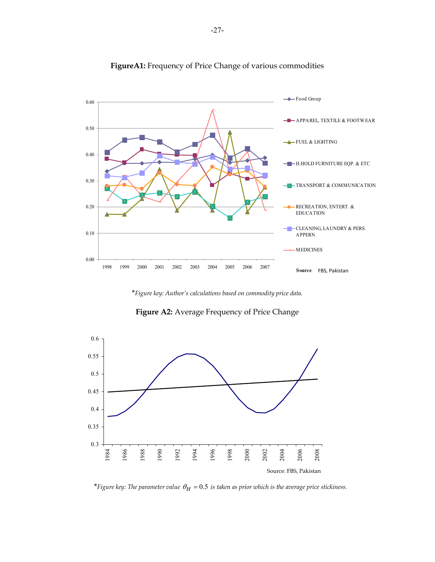

# **FigureA1:** Frequency of Price Change of various commodities

\**Figure key: Author's calculations based on commodity price data.*





\**Figure key: The parameter value*  $\theta_H = 0.5$  *is taken as prior which is the average price stickiness.*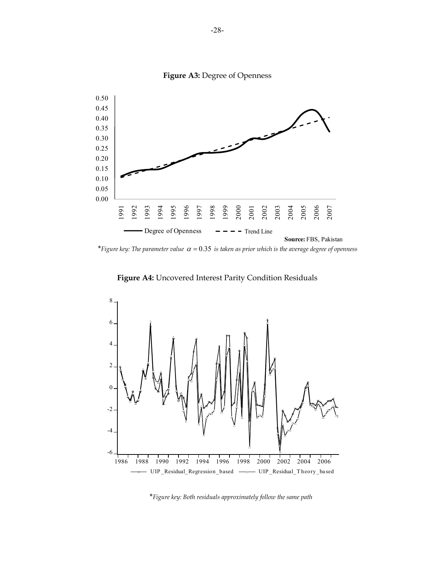

**Figure A3:** Degree of Openness

\**Figure key: The parameter value*  $\alpha = 0.35$  *is taken as prior which is the average degree of openness* 



**Figure A4:** Uncovered Interest Parity Condition Residuals

\**Figure key: Both residuals approximately follow the same path*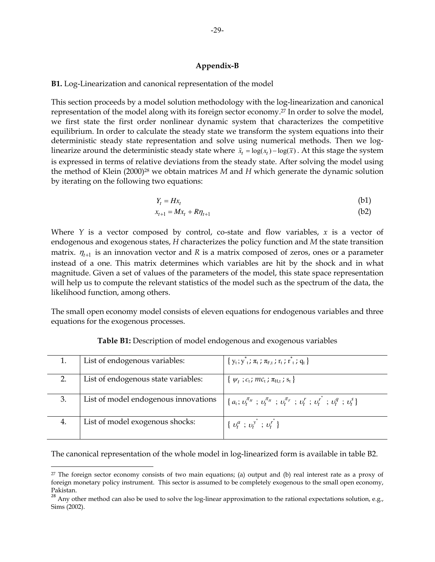#### **Appendix-B**

#### **B1.** Log-Linearization and canonical representation of the model

This section proceeds by a model solution methodology with the log-linearization and canonical representation of the model along with its foreign sector economy.27 In order to solve the model, we first state the first order nonlinear dynamic system that characterizes the competitive equilibrium. In order to calculate the steady state we transform the system equations into their deterministic steady state representation and solve using numerical methods. Then we loglinearize around the deterministic steady state where  $\tilde{x}_t = \log(x_t) - \log(\bar{x})$ . At this stage the system is expressed in terms of relative deviations from the steady state. After solving the model using the method of Klein (2000)28 we obtain matrices *M* and *H* which generate the dynamic solution by iterating on the following two equations:

$$
Y_t = Hx_t \tag{b1}
$$

$$
x_{t+1} = Mx_t + R\eta_{t+1} \tag{b2}
$$

Where *Y* is a vector composed by control, co-state and flow variables, *x* is a vector of endogenous and exogenous states, *H* characterizes the policy function and *M* the state transition matrix.  $\eta_{t+1}$  is an innovation vector and R is a matrix composed of zeros, ones or a parameter instead of a one. This matrix determines which variables are hit by the shock and in what magnitude. Given a set of values of the parameters of the model, this state space representation will help us to compute the relevant statistics of the model such as the spectrum of the data, the likelihood function, among others.

The small open economy model consists of eleven equations for endogenous variables and three equations for the exogenous processes.

|    | List of endogenous variables:        | $\{y_t; y^*_{t}; \pi_t; \pi_{F,t}; r_t; r^*_{t}; q_t\}$                                                             |
|----|--------------------------------------|---------------------------------------------------------------------------------------------------------------------|
|    | List of endogenous state variables:  | $\{ \psi_t ; c_t ; mc_t ; \pi_{H,t} ; s_t \}$                                                                       |
| 3. | List of model endogenous innovations | $\{a_{t};v_{t}^{\pi_{H}};v_{t}^{\pi_{H}};v_{t}^{\pi_{F}};v_{t}^{\pi_{F}};v_{t}^{r};v_{t}^{r};v_{t}^{q};v_{t}^{s}\}$ |
|    | List of model exogenous shocks:      | $\{v_t^a$ ; $v_t^y$ ; $v_t^r\}$                                                                                     |

# **Table B1:** Description of model endogenous and exogenous variables

The canonical representation of the whole model in log-linearized form is available in table B2.

<sup>27</sup> The foreign sector economy consists of two main equations; (a) output and (b) real interest rate as a proxy of foreign monetary policy instrument. This sector is assumed to be completely exogenous to the small open economy, Pakistan.

 $28$  Any other method can also be used to solve the log-linear approximation to the rational expectations solution, e.g., Sims (2002).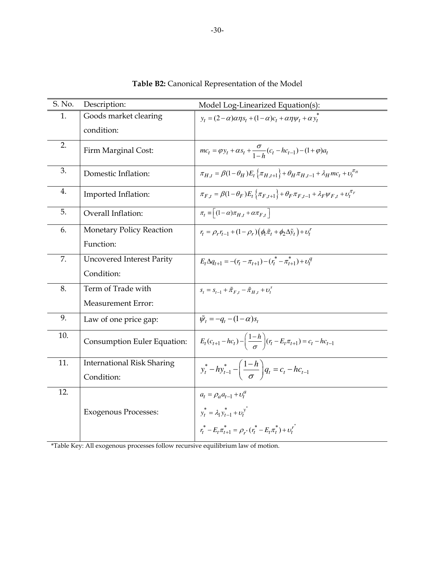| S. No. | Description:                      | Model Log-Linearized Equation(s):                                                                                             |
|--------|-----------------------------------|-------------------------------------------------------------------------------------------------------------------------------|
| 1.     | Goods market clearing             | $y_t = (2 - \alpha)\alpha\eta s_t + (1 - \alpha)c_t + \alpha\eta\psi_t + \alpha y_t^*$                                        |
|        | condition:                        |                                                                                                                               |
| 2.     | Firm Marginal Cost:               | $mc_t = \varphi y_t + \alpha s_t + \frac{\sigma}{1-h}(c_t - hc_{t-1}) - (1+\varphi)a_t$                                       |
| 3.     | Domestic Inflation:               | $\pi_{H,t} = \beta(1-\theta_H)E_t\left\{\pi_{H,t+1}\right\} + \theta_H\pi_{H,t-1} + \lambda_H mc_t + v_t^{\pi_H}$             |
| 4.     | Imported Inflation:               | $\pi_{F,t} = \beta(1-\theta_F)E_t \left\{ \pi_{F,t+1} \right\} + \theta_F \pi_{F,t-1} + \lambda_F \psi_{F,t} + \nu_t^{\pi_F}$ |
| 5.     | Overall Inflation:                | $\pi_t = \left[ (1-\alpha) \pi_{H_t} + \alpha \pi_{F_t} \right]$                                                              |
| 6.     | Monetary Policy Reaction          | $r_t = \rho_r r_{t-1} + (1 - \rho_r) (\phi_t \tilde{\pi}_t + \phi_2 \Delta \tilde{y}_t) + \nu_t^r$                            |
|        | Function:                         |                                                                                                                               |
| 7.     | <b>Uncovered Interest Parity</b>  | $E_t \Delta q_{t+1} = -(r_t - \pi_{t+1}) - (r_t^* - \pi_{t+1}^*) + \upsilon_t^q$                                              |
|        | Condition:                        |                                                                                                                               |
| 8.     | Term of Trade with                | $S_t = S_{t-1} + \tilde{\pi}_{F,t} - \tilde{\pi}_{H,t} + U_t^s$                                                               |
|        | <b>Measurement Error:</b>         |                                                                                                                               |
| 9.     | Law of one price gap:             | $\tilde{\psi}_t = -q_t - (1 - \alpha)s_t$                                                                                     |
| 10.    | Consumption Euler Equation:       | $E_t(c_{t+1} - hc_t) - \left(\frac{1-h}{\sigma}\right)(r_t - E_t \pi_{t+1}) = c_t - hc_{t-1}$                                 |
| 11.    | <b>International Risk Sharing</b> | $y_t^* - hy_{t-1}^* - \left(\frac{1-h}{\sigma}\right) q_t = c_t - hc_{t-1}$                                                   |
|        | Condition:                        |                                                                                                                               |
| 12.    |                                   | $a_t = \rho_a a_{t-1} + v_t^a$                                                                                                |
|        | <b>Exogenous Processes:</b>       | $y_t^* = \lambda_1 y_{t-1}^* + \nu_t^{y^*}$                                                                                   |
|        |                                   | $r_t^* - E_t \pi_{t+1}^* = \rho_{r^*} (r_t^* - E_t \pi_t^*) + \nu_t^{r^*}$                                                    |

**Table B2:** Canonical Representation of the Model

\*Table Key: All exogenous processes follow recursive equilibrium law of motion.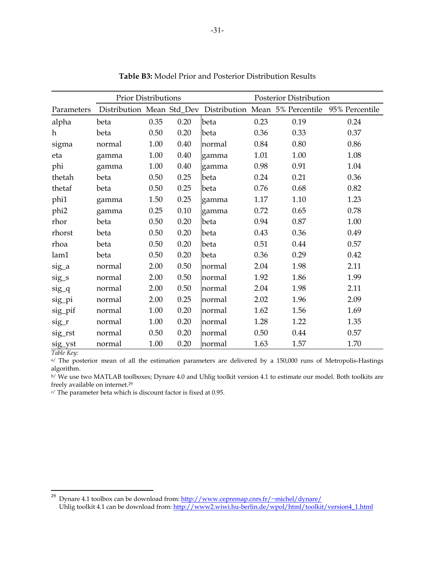|                  | <b>Prior Distributions</b> |      |      |        | Posterior Distribution |      |                                                                          |  |
|------------------|----------------------------|------|------|--------|------------------------|------|--------------------------------------------------------------------------|--|
| Parameters       |                            |      |      |        |                        |      | Distribution Mean Std_Dev Distribution Mean 5% Percentile 95% Percentile |  |
| alpha            | beta                       | 0.35 | 0.20 | beta   | 0.23                   | 0.19 | 0.24                                                                     |  |
| h                | beta                       | 0.50 | 0.20 | beta   | 0.36                   | 0.33 | 0.37                                                                     |  |
| sigma            | normal                     | 1.00 | 0.40 | normal | 0.84                   | 0.80 | 0.86                                                                     |  |
| eta              | gamma                      | 1.00 | 0.40 | gamma  | 1.01                   | 1.00 | 1.08                                                                     |  |
| phi              | gamma                      | 1.00 | 0.40 | gamma  | 0.98                   | 0.91 | 1.04                                                                     |  |
| thetah           | beta                       | 0.50 | 0.25 | beta   | 0.24                   | 0.21 | 0.36                                                                     |  |
| thetaf           | beta                       | 0.50 | 0.25 | beta   | 0.76                   | 0.68 | 0.82                                                                     |  |
| phi1             | gamma                      | 1.50 | 0.25 | gamma  | 1.17                   | 1.10 | 1.23                                                                     |  |
| phi <sub>2</sub> | gamma                      | 0.25 | 0.10 | gamma  | 0.72                   | 0.65 | 0.78                                                                     |  |
| rhor             | beta                       | 0.50 | 0.20 | beta   | 0.94                   | 0.87 | 1.00                                                                     |  |
| rhorst           | beta                       | 0.50 | 0.20 | beta   | 0.43                   | 0.36 | 0.49                                                                     |  |
| rhoa             | beta                       | 0.50 | 0.20 | beta   | 0.51                   | 0.44 | 0.57                                                                     |  |
| lam1             | beta                       | 0.50 | 0.20 | beta   | 0.36                   | 0.29 | 0.42                                                                     |  |
| sig_a            | normal                     | 2.00 | 0.50 | normal | 2.04                   | 1.98 | 2.11                                                                     |  |
| sig_s            | normal                     | 2.00 | 0.50 | normal | 1.92                   | 1.86 | 1.99                                                                     |  |
| sig_q            | normal                     | 2.00 | 0.50 | normal | 2.04                   | 1.98 | 2.11                                                                     |  |
| sig_pi           | normal                     | 2.00 | 0.25 | normal | 2.02                   | 1.96 | 2.09                                                                     |  |
| sig_pif          | normal                     | 1.00 | 0.20 | normal | 1.62                   | 1.56 | 1.69                                                                     |  |
| $sig_r$          | normal                     | 1.00 | 0.20 | normal | 1.28                   | 1.22 | 1.35                                                                     |  |
| sig_rst          | normal                     | 0.50 | 0.20 | normal | 0.50                   | 0.44 | 0.57                                                                     |  |
| sig_yst          | normal                     | 1.00 | 0.20 | normal | 1.63                   | 1.57 | 1.70                                                                     |  |

**Table B3:** Model Prior and Posterior Distribution Results

*Table Key:* 

<sup>a</sup>/ The posterior mean of all the estimation parameters are delivered by a 150,000 runs of Metropolis-Hastings algorithm.

b/ We use two MATLAB toolboxes; Dynare 4.0 and Uhlig toolkit version 4.1 to estimate our model. Both toolkits are freely available on internet.<sup>29</sup>

c/ The parameter beta which is discount factor is fixed at 0.95.

<sup>&</sup>lt;u>29</u><br>29 Dynare 4.1 toolbox can be download from: <u>http://www.cepremap.cnrs.fr/~michel/dynare/</u> Uhlig toolkit 4.1 can be download from: http://www2.wiwi.hu-berlin.de/wpol/html/toolkit/version4\_1.html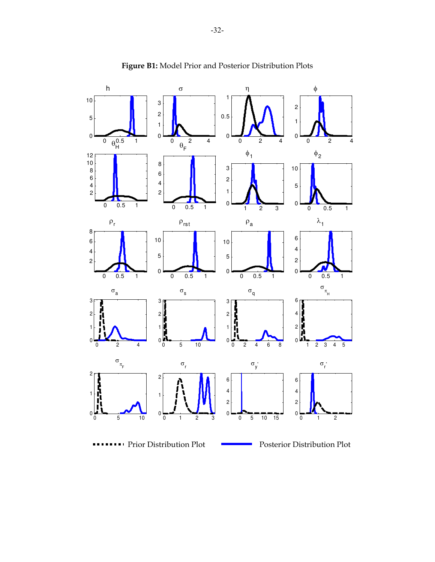

**Figure B1:** Model Prior and Posterior Distribution Plots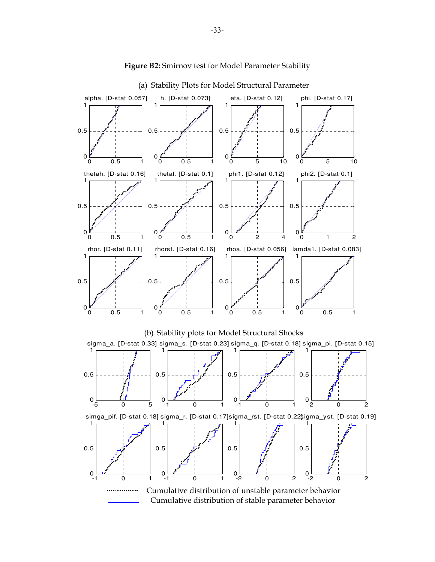

#### Figure B2: Smirnov test for Model Parameter Stability

(a) Stability Plots for Model Structural Parameter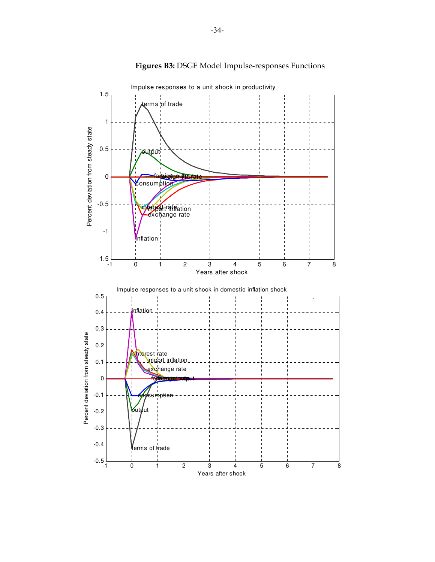

# **Figures B3:** DSGE Model Impulse-responses Functions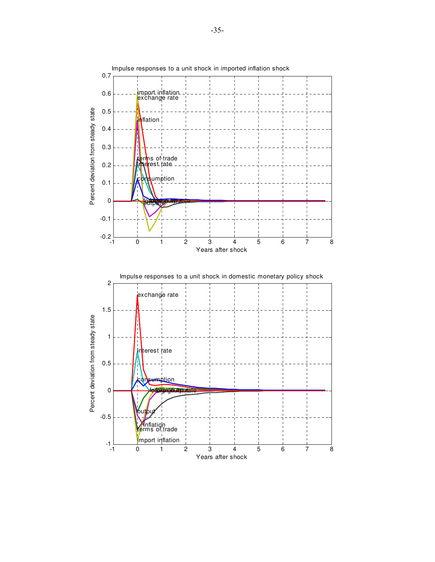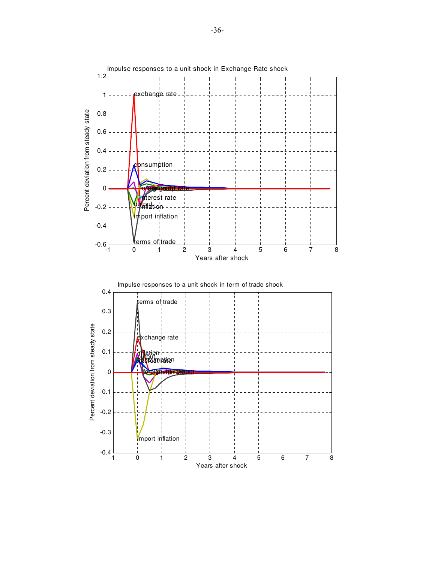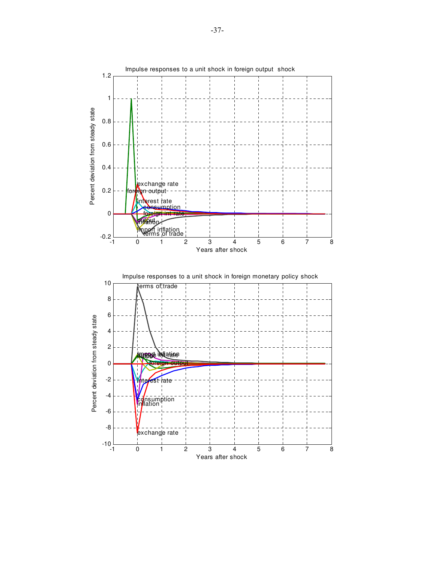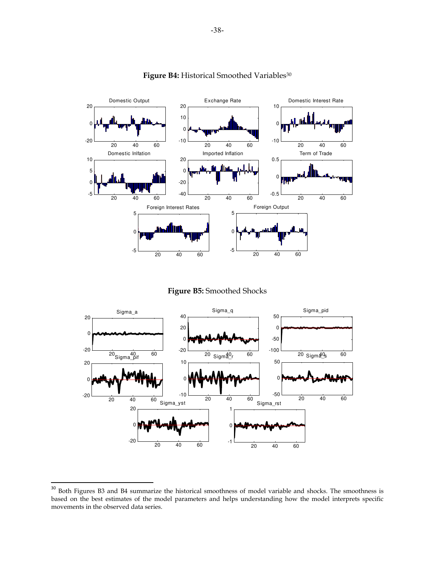

#### Figure B4: Historical Smoothed Variables<sup>30</sup>

**Figure B5:** Smoothed Shocks



<sup>&</sup>lt;sup>30</sup> Both Figures B3 and B4 summarize the historical smoothness of model variable and shocks. The smoothness is based on the best estimates of the model parameters and helps understanding how the model interprets specific movements in the observed data series.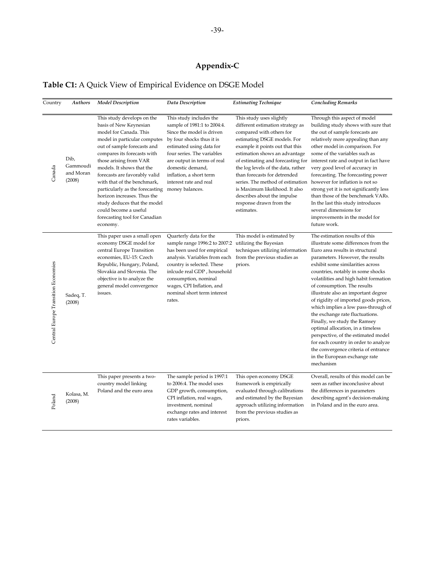# **Appendix-C**

# **Table C1:** A Quick View of Empirical Evidence on DSGE Model

| Country                             | Authors                                 | <b>Model Description</b>                                                                                                                                                                                                                                                                                                                                                                                                                                                    | <b>Data Description</b>                                                                                                                                                                                                                                                                                                                | <b>Estimating Technique</b>                                                                                                                                                                                                                                                                                                                                                                                                                     | <b>Concluding Remarks</b>                                                                                                                                                                                                                                                                                                                                                                                                                                                                                                                                                                                                                                       |
|-------------------------------------|-----------------------------------------|-----------------------------------------------------------------------------------------------------------------------------------------------------------------------------------------------------------------------------------------------------------------------------------------------------------------------------------------------------------------------------------------------------------------------------------------------------------------------------|----------------------------------------------------------------------------------------------------------------------------------------------------------------------------------------------------------------------------------------------------------------------------------------------------------------------------------------|-------------------------------------------------------------------------------------------------------------------------------------------------------------------------------------------------------------------------------------------------------------------------------------------------------------------------------------------------------------------------------------------------------------------------------------------------|-----------------------------------------------------------------------------------------------------------------------------------------------------------------------------------------------------------------------------------------------------------------------------------------------------------------------------------------------------------------------------------------------------------------------------------------------------------------------------------------------------------------------------------------------------------------------------------------------------------------------------------------------------------------|
| Canada                              | Dib,<br>Gammoudi<br>and Moran<br>(2008) | This study develops on the<br>basis of New Keynesian<br>model for Canada. This<br>model in particular computes<br>out of sample forecasts and<br>compares its forecasts with<br>those arising from VAR<br>models. It shows that the<br>forecasts are favorably valid<br>with that of the benchmark,<br>particularly as the forecasting<br>horizon increases. Thus the<br>study deduces that the model<br>could become a useful<br>forecasting tool for Canadian<br>economy. | This study includes the<br>sample of 1981:1 to 2004:4.<br>Since the model is driven<br>by four shocks thus it is<br>estimated using data for<br>four series. The variables<br>are output in terms of real<br>domestic demand,<br>inflation, a short term<br>interest rate and real<br>money balances.                                  | This study uses slightly<br>different estimation strategy as<br>compared with others for<br>estimating DSGE models. For<br>example it points out that this<br>estimation shows an advantage<br>the log levels of the data, rather<br>than forecasts for detrended<br>series. The method of estimation however for inflation is not so<br>is Maximum likelihood. It also<br>describes about the impulse<br>response drawn from the<br>estimates. | Through this aspect of model<br>building study shows with sure that<br>the out of sample forecasts are<br>relatively more appealing than any<br>other model in comparison. For<br>some of the variables such as<br>of estimating and forecasting for interest rate and output in fact have<br>very good level of accuracy in<br>forecasting. The forecasting power<br>strong yet it is not significantly less<br>than those of the benchmark VARs.<br>In the last this study introduces<br>several dimensions for<br>improvements in the model for<br>future work.                                                                                              |
| Central Europe Transition Economies | Sadeq, T.<br>(2008)                     | This paper uses a small open<br>economy DSGE model for<br>central Europe Transition<br>economies, EU-15: Czech<br>Republic, Hungary, Poland,<br>Slovakia and Slovenia. The<br>objective is to analyze the<br>general model convergence<br>issues.                                                                                                                                                                                                                           | Quarterly data for the<br>sample range 1996:2 to 2007:2 utilizing the Bayesian<br>has been used for empirical<br>analysis. Variables from each from the previous studies as<br>country is selected. These<br>inlcude real GDP, household<br>consumption, nominal<br>wages, CPI Inflation, and<br>nominal short term interest<br>rates. | This model is estimated by<br>techniques utilizing information Euro area results in structural<br>priors.                                                                                                                                                                                                                                                                                                                                       | The estimation results of this<br>illustrate some differences from the<br>parameters. However, the results<br>exhibit some similarities across<br>countries, notably in some shocks<br>volatilities and high habit formation<br>of consumption. The results<br>illustrate also an important degree<br>of rigidity of imported goods prices,<br>which implies a low pass-through of<br>the exchange rate fluctuations.<br>Finally, we study the Ramsey<br>optimal allocation, in a timeless<br>perspective, of the estimated model<br>for each country in order to analyze<br>the convergence criteria of entrance<br>in the European exchange rate<br>mechanism |
| Poland                              | Kolasa, M.<br>(2008)                    | This paper presents a two-<br>country model linking<br>Poland and the euro area                                                                                                                                                                                                                                                                                                                                                                                             | The sample period is 1997:1<br>to 2006:4. The model uses<br>GDP growth, consumption,<br>CPI inflation, real wages,<br>investment, nominal<br>exchange rates and interest<br>rates variables.                                                                                                                                           | This open economy DSGE<br>framework is empirically<br>evaluated through calibrations<br>and estimated by the Bayesian<br>approach utilizing information<br>from the previous studies as<br>priors.                                                                                                                                                                                                                                              | Overall, results of this model can be<br>seen as rather inconclusive about<br>the differences in parameters<br>describing agent's decision-making<br>in Poland and in the euro area.                                                                                                                                                                                                                                                                                                                                                                                                                                                                            |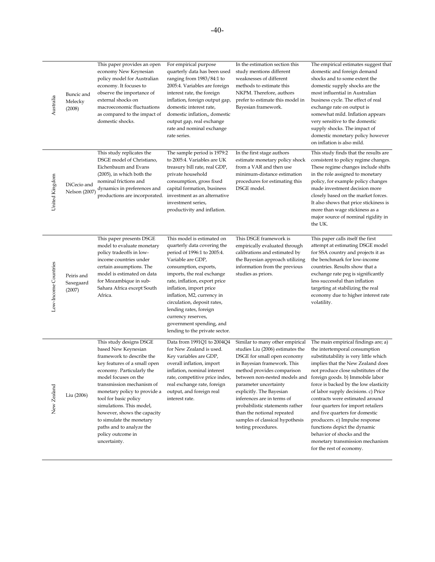| Australia            | Buncic and<br>Melecky<br>(2008)   | This paper provides an open<br>economy New Keynesian<br>policy model for Australian<br>economy. It focuses to<br>observe the importance of<br>external shocks on<br>macroeconomic fluctuations<br>as compared to the impact of<br>domestic shocks.                                                                                                                                                             | For empirical purpose<br>quarterly data has been used<br>ranging from 1983/84:1 to<br>2005:4. Variables are foreign<br>interest rate, the foreign<br>inflation, foreign output gap,<br>domestic interest rate,<br>domestic inflation,, domestic<br>output gap, real exchange<br>rate and nominal exchange<br>rate series.                                                                                   | In the estimation section this<br>study mentions different<br>weaknesses of different<br>methods to estimate this<br>NKPM. Therefore, authors<br>prefer to estimate this model in<br>Bayesian framework.                                                                                                                                                                      | The empirical estimates suggest that<br>domestic and foreign demand<br>shocks and to some extent the<br>domestic supply shocks are the<br>most influential in Australian<br>business cycle. The effect of real<br>exchange rate on output is<br>somewhat mild. Inflation appears<br>very sensitive to the domestic<br>supply shocks. The impact of<br>domestic monetary policy however<br>on inflation is also mild.                                                                                                                                                                                                   |
|----------------------|-----------------------------------|----------------------------------------------------------------------------------------------------------------------------------------------------------------------------------------------------------------------------------------------------------------------------------------------------------------------------------------------------------------------------------------------------------------|-------------------------------------------------------------------------------------------------------------------------------------------------------------------------------------------------------------------------------------------------------------------------------------------------------------------------------------------------------------------------------------------------------------|-------------------------------------------------------------------------------------------------------------------------------------------------------------------------------------------------------------------------------------------------------------------------------------------------------------------------------------------------------------------------------|------------------------------------------------------------------------------------------------------------------------------------------------------------------------------------------------------------------------------------------------------------------------------------------------------------------------------------------------------------------------------------------------------------------------------------------------------------------------------------------------------------------------------------------------------------------------------------------------------------------------|
| United Kingdom       | DiCecio and<br>Nelson (2007)      | This study replicates the<br>DSGE model of Christiano,<br>Eichenbaum and Evans<br>(2005), in which both the<br>nominal frictions and<br>dynamics in preferences and<br>productions are incorporated.                                                                                                                                                                                                           | The sample period is 1979:2<br>to 2005:4. Variables are UK<br>treasury bill rate, real GDP,<br>private household<br>consumption, gross fixed<br>capital formation, business<br>investment as an alternative<br>investment series,<br>productivity and inflation.                                                                                                                                            | In the first stage authors<br>estimate monetary policy shock<br>from a VAR and then use<br>minimum-distance estimation<br>procedures for estimating this<br>DSGE model.                                                                                                                                                                                                       | This study finds that the results are<br>consistent to policy regime changes.<br>These regime changes include shifts<br>in the role assigned to monetary<br>policy, for example policy changes<br>made investment decision more<br>closely based on the market forces.<br>It also shows that price stickiness is<br>more than wage stickiness as a<br>major source of nominal rigidity in<br>the UK.                                                                                                                                                                                                                   |
| Low-Income Countries | Peiris and<br>Saxegaard<br>(2007) | This paper presents DSGE<br>model to evaluate monetary<br>policy tradeoffs in low-<br>income countries under<br>certain assumptions. The<br>model is estimated on data<br>for Mozambique in sub-<br>Sahara Africa except South<br>Africa.                                                                                                                                                                      | This model is estimated on<br>quarterly data covering the<br>period of 1996:1 to 2005:4.<br>Variable are GDP,<br>consumption, exports,<br>imports, the real exchange<br>rate, inflation, export price<br>inflation, import price<br>inflation, M2, currency in<br>circulation, deposit rates,<br>lending rates, foreign<br>currency reserves,<br>government spending, and<br>lending to the private sector. | This DSGE framework is<br>empirically evaluated through<br>calibrations and estimated by<br>the Bayesian approach utilizing<br>information from the previous<br>studies as priors.                                                                                                                                                                                            | This paper calls itself the first<br>attempt at estimating DSGE model<br>for SSA country and projects it as<br>the benchmark for low-income<br>countries. Results show that a<br>exchange rate peg is significantly<br>less successful than inflation<br>targeting at stabilizing the real<br>economy due to higher interest rate<br>volatility.                                                                                                                                                                                                                                                                       |
| New Zealand          | Liu (2006)                        | This study designs DSGE<br>based New Keynesian<br>framework to describe the<br>key features of a small open<br>economy. Particularly the<br>model focuses on the<br>transmission mechanism of<br>monetary policy to provide a<br>tool for basic policy<br>simulations. This model,<br>however, shows the capacity<br>to simulate the monetary<br>paths and to analyze the<br>policy outcome in<br>uncertainty. | Data from 1991Q1 to 2004Q4<br>for New Zealand is used.<br>Key variables are GDP,<br>overall inflation, import<br>inflation, nominal interest<br>rate, competitive price index,<br>real exchange rate, foreign<br>output, and foreign real<br>interest rate.                                                                                                                                                 | Similar to many other empirical<br>studies Liu (2006) estimates the<br>DSGE for small open economy<br>in Bayesian framework. This<br>method provides comparison<br>parameter uncertainty<br>explicitly. The Bayesian<br>inferences are in terms of<br>probabilistic statements rather<br>than the notional repeated<br>samples of classical hypothesis<br>testing procedures. | The main empirical findings are; a)<br>the intertemporal consumption<br>substitutability is very little which<br>implies that the New Zealand does<br>not produce close substitutes of the<br>between non-nested models and foreign goods. b) Immobile labor<br>force is backed by the low elasticity<br>of labor supply decisions. c) Price<br>contracts were estimated around<br>four quarters for import retailers<br>and five quarters for domestic<br>producers. e) Impulse response<br>functions depict the dynamic<br>behavior of shocks and the<br>monetary transmission mechanism<br>for the rest of economy. |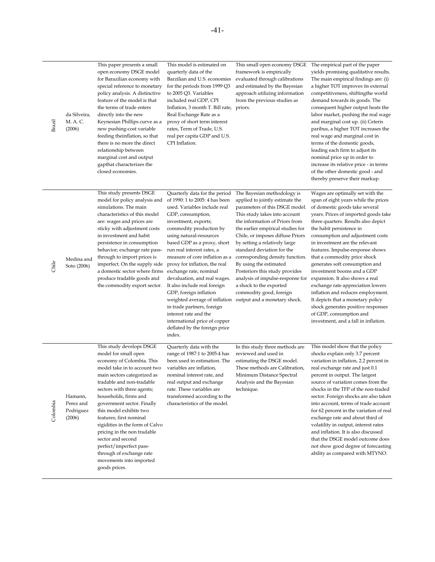| Brazil   | da Silveira,<br>M. A. C.<br>(2006)          | This paper presents a small<br>open economy DSGE model<br>for Barazilian economy with<br>special reference to monetary<br>policy analysis. A distinctive<br>feature of the model is that<br>the terms of trade enters<br>directly into the new<br>Keynesian Phillips curve as a<br>new pushing-cost variable<br>feeding theinflation, so that<br>there is no more the direct<br>relationship between<br>marginal cost and output<br>gapthat characterizes the<br>closed economies.                             | This model is estimated on<br>quarterly data of the<br>Barzilian and U.S. economies<br>for the periods from 1999 Q3<br>to 2005 Q3. Variables<br>included real GDP, CPI<br>Inflation, 3 month T. Bill rate, priors.<br>Real Exchange Rate as a<br>proxy of short term interest<br>rates, Term of Trade, U.S.<br>real per capita GDP and U.S.<br>CPI Inflation.                                                                                                                                                                                                                             | This small open economy DSGE<br>framework is empirically<br>evaluated through calibrations<br>and estimated by the Bayesian<br>approach utilizing information<br>from the previous studies as                                                                                                                                                                                                                                                                                                                                                                      | The empirical part of the paper<br>yields promising qualitative results.<br>The main empirical findings are: (i)<br>a higher TOT improves its external<br>competitiveness, shiftingthe world<br>demand towards its goods. The<br>consequent higher output heats the<br>labor market, pushing the real wage<br>and marginal cost up. (ii) Ceteris<br>paribus, a higher TOT increases the<br>real wage and marginal cost in<br>terms of the domestic goods,<br>leading each firm to adjust its<br>nominal price up in order to<br>increase its relative price - in terms<br>of the other domestic good - and<br>thereby preserve their markup.                                               |
|----------|---------------------------------------------|----------------------------------------------------------------------------------------------------------------------------------------------------------------------------------------------------------------------------------------------------------------------------------------------------------------------------------------------------------------------------------------------------------------------------------------------------------------------------------------------------------------|-------------------------------------------------------------------------------------------------------------------------------------------------------------------------------------------------------------------------------------------------------------------------------------------------------------------------------------------------------------------------------------------------------------------------------------------------------------------------------------------------------------------------------------------------------------------------------------------|--------------------------------------------------------------------------------------------------------------------------------------------------------------------------------------------------------------------------------------------------------------------------------------------------------------------------------------------------------------------------------------------------------------------------------------------------------------------------------------------------------------------------------------------------------------------|--------------------------------------------------------------------------------------------------------------------------------------------------------------------------------------------------------------------------------------------------------------------------------------------------------------------------------------------------------------------------------------------------------------------------------------------------------------------------------------------------------------------------------------------------------------------------------------------------------------------------------------------------------------------------------------------|
| Chile    | Medina and<br>Soto (2006)                   | This study presents DSGE<br>model for policy analysis and<br>simulations. The main<br>characteristics of this model<br>are: wages and prices are<br>sticky with adjustment costs<br>in investment and habit<br>persistence in consumption<br>behavior; exchange rate pass-<br>through to import prices is<br>imperfect. On the supply side<br>a domestic sector where firms<br>produce tradable goods and<br>the commodity export sector.                                                                      | Quarterly data for the period<br>of 1990: 1 to 2005: 4 has been<br>used. Variables include real<br>GDP, consumption,<br>investment, exports;<br>commodity production by<br>using natural-resources<br>based GDP as a proxy, short<br>run real interest rates, a<br>measure of core inflation as a<br>proxy for inflation, the real<br>exchange rate, nominal<br>devaluation, and real wages.<br>It also include real foreign<br>GDP, foreign inflation<br>in trade partners, foreign<br>interest rate and the<br>international price of copper<br>deflated by the foreign price<br>index. | The Bayesian methodology is<br>applied to jointly estimate the<br>parameters of this DSGE model.<br>This study takes into account<br>the information of Priors from<br>the earlier empirical studies for<br>Chile, or imposes diffuse Priors<br>by setting a relatively large<br>standard deviation for the<br>corresponding density function.<br>By using the estimated<br>Posteriors this study provides<br>analysis of impulse-response for<br>a shock to the exported<br>commodity good, foreign<br>weighted average of inflation output and a monetary shock. | Wages are optimally set with the<br>span of eight years while the prices<br>of domestic goods take several<br>years. Prices of imported goods take<br>three quarters. Results also depict<br>the habit persistence in<br>consumption and adjustment costs<br>in investment are the relevant<br>features. Impulse-response shows<br>that a commodity price shock<br>generates soft consumption and<br>investment booms and a GDP<br>expansion. It also shows a real<br>exchange rate appreciation lowers<br>inflation and reduces employment.<br>It depicts that a monetary policy<br>shock generates positive responses<br>of GDP, consumption and<br>investment, and a fall in inflation. |
| Colombia | Hamann,<br>Perez and<br>Podriguez<br>(2006) | This study develops DSGE<br>model for small open<br>economy of Colombia. This<br>model take in to account two<br>main sectors categorized as<br>tradable and non-tradable<br>sectors with three agents;<br>households, firms and<br>government sector. Finally<br>this model exhibits two<br>features; first nominal<br>rigidities in the form of Calvo<br>pricing in the non tradable<br>sector and second<br>perfect/imperfect pass-<br>through of exchange rate<br>movements into imported<br>goods prices. | Quarterly data with the<br>range of 1987:1 to 2005:4 has<br>been used in estimation. The<br>variables are inflation,<br>nominal interest rate, and<br>real output and exchange<br>rate. These variables are<br>transformed according to the<br>characteristics of the model.                                                                                                                                                                                                                                                                                                              | In this study three methods are<br>reviewed and used in<br>estimating the DSGE model.<br>These methods are Calibration,<br>Minimum Distance Spectral<br>Analysis and the Bayesian<br>technique.                                                                                                                                                                                                                                                                                                                                                                    | This model show that the policy<br>shocks explain only 3.7 percent<br>variation in inflation, 2.2 percent in<br>real exchange rate and just 0.1<br>percent in output. The largest<br>source of variation comes from the<br>shocks in the TFP of the non-traded<br>sector. Foreign shocks are also taken<br>into account, terms of trade account<br>for 62 percent in the variation of real<br>exchange rate and about third of<br>volatility in output, interest rates<br>and inflation. It is also discussed<br>that the DSGE model outcome does<br>not show good degree of forecasting<br>ability as compared with MTYNO.                                                                |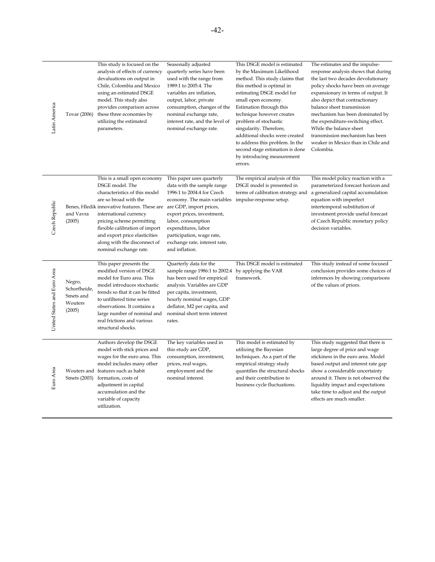| Latin America               | Tovar (2006)                                             | This study is focused on the<br>analysis of effects of currency<br>devaluations on output in<br>Chile, Colombia and Mexico<br>using an estimated DSGE<br>model. This study also<br>provides comparison across<br>these three economies by<br>utilizing the estimated<br>parameters.                                                           | Seasonally adjusted<br>quarterly series have been<br>used with the range from<br>1989:1 to 2005:4. The<br>variables are inflation,<br>output, labor, private<br>consumption, changes of the<br>nominal exchange rate,<br>interest rate, and the level of<br>nominal exchange rate.                                                 | This DSGE model is estimated<br>by the Maximum Likelihood<br>method. This study claims that<br>this method is optimal in<br>estimating DSGE model for<br>small open economy.<br>Estimation through this<br>technique however creates<br>problem of stochastic<br>singularity. Therefore,<br>additional shocks were created<br>to address this problem. In the<br>second stage estimation is done<br>by introducing measurement<br>errors. | The estimates and the impulse-<br>response analysis shows that during<br>the last two decades devolutionary<br>policy shocks have been on average<br>expansionary in terms of output. It<br>also depict that contractionary<br>balance sheet transmission<br>mechanism has been dominated by<br>the expenditure-switching effect.<br>While the balance sheet<br>transmission mechanism has been<br>weaker in Mexico than in Chile and<br>Colombia. |
|-----------------------------|----------------------------------------------------------|-----------------------------------------------------------------------------------------------------------------------------------------------------------------------------------------------------------------------------------------------------------------------------------------------------------------------------------------------|------------------------------------------------------------------------------------------------------------------------------------------------------------------------------------------------------------------------------------------------------------------------------------------------------------------------------------|-------------------------------------------------------------------------------------------------------------------------------------------------------------------------------------------------------------------------------------------------------------------------------------------------------------------------------------------------------------------------------------------------------------------------------------------|----------------------------------------------------------------------------------------------------------------------------------------------------------------------------------------------------------------------------------------------------------------------------------------------------------------------------------------------------------------------------------------------------------------------------------------------------|
| Czech Republic              | and Vavra<br>(2005)                                      | This is a small open economy<br>DSGE model. The<br>characteristics of this model<br>are so broad with the<br>Benes, Hledik innovative features. These are<br>international currency<br>pricing scheme permitting<br>flexible calibration of import<br>and export price elasticities<br>along with the disconnect of<br>nominal exchange rate. | This paper uses quarterly<br>data with the sample range<br>1996:1 to 2004:4 for Czech<br>economy. The main variables impulse-response setup.<br>are GDP, import prices,<br>export prices, investment,<br>labor, consumption<br>expenditures, labor<br>participation, wage rate,<br>exchange rate, interest rate,<br>and inflation. | The empirical analysis of this<br>DSGE model is presented in                                                                                                                                                                                                                                                                                                                                                                              | This model policy reaction with a<br>parameterized forecast horizon and<br>terms of calibration strategy and a generalized capital accumulation<br>equation with imperfect<br>intertemporal substitution of<br>investment provide useful forecast<br>of Czech Republic monetary policy<br>decision variables.                                                                                                                                      |
| United States and Euro Area | Negro,<br>Schorfheide,<br>Smets and<br>Wouters<br>(2005) | This paper presents the<br>modified version of DSGE<br>model for Euro area. This<br>model introduces stochastic<br>trends so that it can be fitted<br>to unfiltered time series<br>observations. It contains a<br>large number of nominal and<br>real frictions and various<br>structural shocks.                                             | Quarterly data for the<br>sample range 1986:1 to 2002:4<br>has been used for empirical<br>analysis. Variables are GDP<br>per capita, investment,<br>hourly nominal wages, GDP<br>deflator, M2 per capita, and<br>nominal short term interest<br>rates.                                                                             | This DSGE model is estimated<br>by applying the VAR<br>framework.                                                                                                                                                                                                                                                                                                                                                                         | This study instead of some focused<br>conclusion provides some choices of<br>inferences by showing comparisons<br>of the values of priors.                                                                                                                                                                                                                                                                                                         |
| Euro Area                   | Smets (2003)                                             | Authors develop the DSGE<br>model with stick prices and<br>wages for the euro area. This<br>model includes many other<br>Wouters and features such as habit<br>formation, costs of<br>adjustment in capital<br>accumulation and the<br>variable of capacity<br>utilization.                                                                   | The key variables used in<br>this study are GDP,<br>consumption, investment,<br>prices, real wages,<br>employment and the<br>nominal interest.                                                                                                                                                                                     | This model is estimated by<br>utilizing the Bayesian<br>techniques. As a part of the<br>empirical strategy study<br>quantifies the structural shocks<br>and their contribution to<br>business cycle fluctuations.                                                                                                                                                                                                                         | This study suggested that there is<br>large degree of price and wage<br>stickiness in the euro area. Model<br>based output and interest rate gap<br>show a considerable uncertainty<br>around it. There is not observed the<br>liquidity impact and expectations<br>take time to adjust and the output<br>effects are much smaller.                                                                                                                |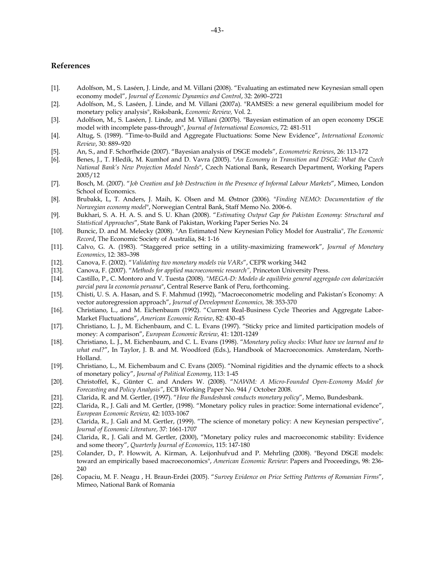#### **References**

- [1]. Adolfson, M., S. Laséen, J. Linde, and M. Villani (2008). "Evaluating an estimated new Keynesian small open economy model", *Journal of Economic Dynamics and Control*, 32: 2690–2721
- [2]. Adolfson, M., S. Laséen, J. Linde, and M. Villani (2007a). "RAMSES: a new general equilibrium model for monetary policy analysis", Risksbank, *Economic Review,* Vol. 2.
- [3]. Adolfson, M., S. Laséen, J. Linde, and M. Villani (2007b). "Bayesian estimation of an open economy DSGE model with incomplete pass-through", *Journal of International Economics*, 72: 481-511
- [4]. Altug, S. (1989). "Time-to-Build and Aggregate Fluctuations: Some New Evidence", *International Economic Review*, 30: 889–920
- [5]. An, S., and F. Schorfheide (2007). "Bayesian analysis of DSGE models", *Econometric Reviews*, 26: 113-172
- [6]. Benes, J., T. Hledik, M. Kumhof and D. Vavra (2005). "*An Economy in Transition and DSGE: What the Czech National Bank's New Projection Model Needs*", Czech National Bank, Research Department, Working Papers 2005/12
- [7]. Bosch, M. (2007). "*Job Creation and Job Destruction in the Presence of Informal Labour Markets*", Mimeo, London School of Economics.
- [8]. Brubakk, L, T. Anders, J. Maih, K. Olsen and M. Østnor (2006). "*Finding NEMO: Documentation of the Norwegian economy model*", Norwegian Central Bank, Staff Memo No. 2006-6.
- [9]. Bukhari, S. A. H. A. S. and S. U. Khan (2008). "*Estimating Output Gap for Pakistan Economy: Structural and Statistical Approaches*", State Bank of Pakistan, Working Paper Series No. 24
- [10]. Buncic, D. and M. Melecky (2008). "An Estimated New Keynesian Policy Model for Australia", *The Economic Record*, The Economic Society of Australia, 84: 1-16
- [11]. Calvo, G. A. (1983). "Staggered price setting in a utility-maximizing framework", *Journal of Monetary Economics*, 12: 383–398
- [12]. Canova, F. (2002). "*Validating two monetary models via VARs*", CEPR working 3442
- [13]. Canova, F. (2007). "*Methods for applied macroeconomic research",* Princeton University Press.
- [14]. Castillo, P., C. Montoro and V. Tuesta (2008). "*MEGA-D: Modelo de equilibrio general aggregado con dolarización parcial para la economía peruana*", Central Reserve Bank of Peru, forthcoming.
- [15]. Chisti, U. S. A. Hasan, and S. F. Mahmud (1992), "Macroeconometric modeling and Pakistan's Economy: A vector autoregression approach", *Journal of Development Economics,* 38: 353-370
- [16]. Christiano, L., and M. Eichenbaum (1992). "Current Real-Business Cycle Theories and Aggregate Labor-Market Fluctuations", *American Economic Review*, 82: 430–45
- [17]. Christiano, L. J., M. Eichenbaum, and C. L. Evans (1997). "Sticky price and limited participation models of money: A comparison", *European Economic Review*, 41: 1201-1249
- [18]. Christiano, L. J., M. Eichenbaum, and C. L. Evans (1998). "*Monetary policy shocks: What have we learned and to what end?*", In Taylor, J. B. and M. Woodford (Eds.), Handbook of Macroeconomics. Amsterdam, North-Holland.
- [19]. Christiano, L., M. Eichembaum and C. Evans (2005). "Nominal rigidities and the dynamic effects to a shock of monetary policy", *Journal of Political Economy*, 113: 1-45
- [20]. Christoffel, K., Günter C. and Anders W. (2008). "*NAWM: A Micro-Founded Open-Economy Model for Forecasting and Policy Analysis"*, ECB Working Paper No. 944 / October 2008.
- [21]. Clarida, R. and M. Gertler, (1997). "*How the Bundesbank conducts monetary policy*", Memo, Bundesbank.
- [22]. Clarida, R., J. Gali and M. Gertler, (1998). "Monetary policy rules in practice: Some international evidence", *European Economic Review*, 42: 1033-1067
- [23]. Clarida, R., J. Gali and M. Gertler, (1999). "The science of monetary policy: A new Keynesian perspective", *Journal of Economic Literature*, 37: 1661-1707
- [24]. Clarida, R., J. Gali and M. Gertler, (2000), "Monetary policy rules and macroeconomic stability: Evidence and some theory", *Quarterly Journal of Economics*, 115: 147-180
- [25]. Colander, D., P. Howwit, A. Kirman, A. Leijonhufvud and P. Mehrling (2008). "Beyond DSGE models: toward an empirically based macroeconomics", *American Economic Review*: Papers and Proceedings, 98: 236- 240
- [26]. Copaciu, M. F. Neagu , H. Braun-Erdei (2005). "*Survey Evidence on Price Setting Patterns of Romanian Firms*", Mimeo, National Bank of Romania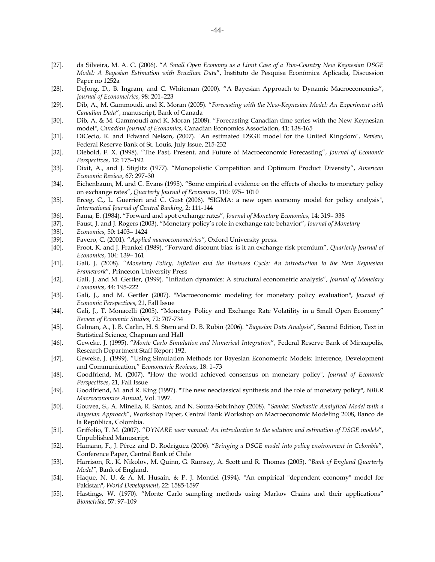- [27]. da Silveira, M. A. C. (2006). "*A Small Open Economy as a Limit Case of a Two-Country New Keynesian DSGE Model: A Bayesian Estimation with Brazilian Data*", Instituto de Pesquisa Econômica Aplicada, Discussion Paper no 1252a
- [28]. DeJong, D., B. Ingram, and C. Whiteman (2000). "A Bayesian Approach to Dynamic Macroeconomics", *Journal of Econometrics*, 98: 201–223
- [29]. Dib, A., M. Gammoudi, and K. Moran (2005). "*Forecasting with the New-Keynesian Model: An Experiment with Canadian Data*", manuscript, Bank of Canada
- [30]. Dib, A. & M. Gammoudi and K. Moran (2008). "Forecasting Canadian time series with the New Keynesian model", *Canadian Journal of Economics*, Canadian Economics Association, 41: 138-165
- [31]. DiCecio, R. and Edward Nelson, (2007). "An estimated DSGE model for the United Kingdom", *Review*, Federal Reserve Bank of St. Louis, July Issue, 215-232
- [32]. Diebold, F. X. (1998). "The Past, Present, and Future of Macroeconomic Forecasting", *Journal of Economic Perspectives*, 12: 175–192
- [33]. Dixit, A., and J. Stiglitz (1977). "Monopolistic Competition and Optimum Product Diversity", *American Economic Review*, 67: 297–30
- [34]. Eichenbaum, M. and C. Evans (1995). "Some empirical evidence on the effects of shocks to monetary policy on exchange rates", *Quarterly Journal of Economics*, 110: 975– 1010
- [35]. Erceg, C., L. Guerrieri and C. Gust (2006). "SIGMA: a new open economy model for policy analysis", *International Journal of Central Banking*, 2: 111-144
- [36]. Fama, E. (1984). "Forward and spot exchange rates", *Journal of Monetary Economics*, 14: 319– 338
- [37]. Faust, J. and J. Rogers (2003). "Monetary policy's role in exchange rate behavior", *Journal of Monetary*
- [38]. *Economics,* 50: 1403– 1424
- [39]. Favero, C. (2001). "*Applied macroeconometrics"*, Oxford University press.
- [40]. Froot, K. and J. Frankel (1989). "Forward discount bias: is it an exchange risk premium", *Quarterly Journal of Economics*, 104: 139– 161
- [41]. Gali, J. (2008). "*Monetary Policy, Inflation and the Business Cycle: An introduction to the New Keynesian Framework*", Princeton University Press
- [42]. Gali, J. and M. Gertler, (1999). "Inflation dynamics: A structural econometric analysis", *Journal of Monetary Economics*, 44: 195-222
- [43]. Gali, J., and M. Gertler (2007). "Macroeconomic modeling for monetary policy evaluation", *Journal of Economic Perspectives*, 21, Fall Issue
- [44]. Gali, J., T. Monacelli (2005). "Monetary Policy and Exchange Rate Volatility in a Small Open Economy" *Review of Economic Studies,* 72: 707-734
- [45]. Gelman, A., J. B. Carlin, H. S. Stern and D. B. Rubin (2006). "*Bayesian Data Analysis*", Second Edition, Text in Statistical Science, Chapman and Hall
- [46]. Geweke, J. (1995). "*Monte Carlo Simulation and Numerical Integration*", Federal Reserve Bank of Mineapolis, Research Department Staff Report 192.
- [47]. Geweke, J. (1999). "Using Simulation Methods for Bayesian Econometric Models: Inference, Development and Communication," *Econometric Reviews*, 18: 1–73
- [48]. Goodfriend, M. (2007). "How the world achieved consensus on monetary policy", *Journal of Economic Perspectives*, 21, Fall Issue
- [49]. Goodfriend, M. and R. King (1997). "The new neoclassical synthesis and the role of monetary policy", *NBER Macroeconomics Annual*, Vol. 1997.
- [50]. Gouvea, S., A. Minella, R. Santos, and N. Souza-Sobrinhoy (2008). "*Samba: Stochastic Analytical Model with a Bayesian Approach*", Workshop Paper, Central Bank Workshop on Macroeconomic Modeling 2008, Banco de la República, Colombia.
- [51]. Griffolio, T. M. (2007). "*DYNARE user manual: An introduction to the solution and estimation of DSGE models*", Unpublished Manuscript.
- [52]. Hamann, F., J. Pérez and D. Rodríguez (2006). "*Bringing a DSGE model into policy environment in Colombia*", Conference Paper, Central Bank of Chile
- [53]. Harrison, R., K. Nikolov, M. Quinn, G. Ramsay, A. Scott and R. Thomas (2005). "*Bank of England Quarterly Model",* Bank of England.
- [54]. Haque, N. U. & A. M. Husain, & P. J. Montiel (1994). "An empirical "dependent economy" model for Pakistan", *World Development*, 22: 1585-1597
- [55]. Hastings, W. (1970). "Monte Carlo sampling methods using Markov Chains and their applications" *Biometrika*, 57: 97–109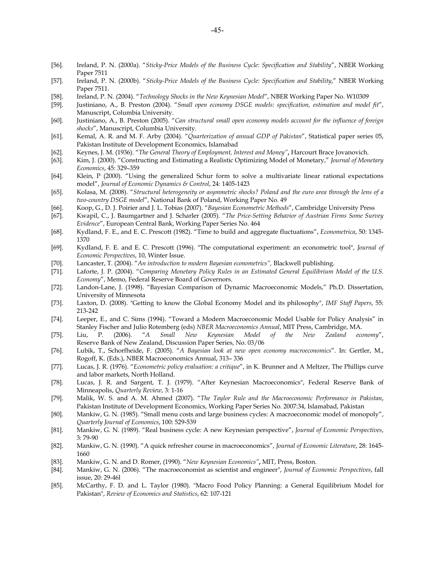- [56]. Ireland, P. N. (2000a). "*Sticky-Price Models of the Business Cycle: Specification and Stability*", NBER Working Paper 7511
- [57]. Ireland, P. N. (2000b). "*Sticky-Price Models of the Business Cycle: Specification and Stability*," NBER Working Paper 7511.
- [58]. Ireland, P. N. (2004). "*Technology Shocks in the New Keynesian Model*", NBER Working Paper No. W10309
- [59]. Justiniano, A., B. Preston (2004). "*Small open economy DSGE models: specification, estimation and model fit*", Manuscript, Columbia University.
- [60]. Justiniano, A., B. Preston (2005). "*Can structural small open economy models account for the influence of foreign shocks*", Manuscript, Columbia University.
- [61]. Kemal, A. R. and M. F. Arby (2004). "*Quarterization of annual GDP of Pakistan*", Statistical paper series 05, Pakistan Institute of Development Economics, Islamabad
- [62]. Keynes, J. M. (1936). "*The General Theory of Employment, Interest and Money"***,** Harcourt Brace Jovanovich.
- [63]. Kim, J. (2000). "Constructing and Estimating a Realistic Optimizing Model of Monetary," *Journal of Monetary Economics*, 45: 329–359
- [64]. Klein, P (2000). "Using the generalized Schur form to solve a multivariate linear rational expectations model", *Journal of Economic Dynamics & Control*, 24: 1405-1423
- [65]. Kolasa, M. (2008). "*Structural heterogeneity or asymmetric shocks? Poland and the euro area through the lens of a two-country DSGE model*", National Bank of Poland, Working Paper No. 49
- [66]. Koop, G., D. J. Poirier and J. L. Tobias (2007). "*Bayesian Econometric Methods*", Cambridge University Press
- [67]. Kwapil, C., J. Baumgartner and J. Scharler (2005). "*The Price-Setting Behavior of Austrian Firms Some Survey Evidence*", European Central Bank, Working Paper Series No. 464
- [68]. Kydland, F. E., and E. C. Prescott (1982). "Time to build and aggregate fluctuations", *Econometrica*, 50: 1345- 1370
- [69]. Kydland, F. E. and E. C. Prescott (1996). "The computational experiment: an econometric tool", *Journal of Economic Perspectives*, 10, Winter Issue.
- [70]. Lancaster, T. (2004). "*An introduction to modern Bayesian econometrics",* Blackwell publishing.
- [71]. Laforte, J. P. (2004). "*Comparing Monetary Policy Rules in an Estimated General Equilibrium Model of the U.S. Economy*", Memo, Federal Reserve Board of Governors.
- [72]. Landon-Lane, J. (1998). "Bayesian Comparison of Dynamic Macroeconomic Models," Ph.D. Dissertation, University of Minnesota
- [73]. Laxton, D. (2008). "Getting to know the Global Economy Model and its philosophy", *IMF Staff Papers*, 55: 213-242
- [74]. Leeper, E., and C. Sims (1994). "Toward a Modern Macroeconomic Model Usable for Policy Analysis" in Stanley Fischer and Julio Rotemberg (eds) *NBER Macroeconomics Annual*, MIT Press, Cambridge, MA.
- [75]. Liu, P. (2006). "*A Small New Keynesian Model of the New Zealand economy*", Reserve Bank of New Zealand, Discussion Paper Series, No. 03/06
- [76]. Lubik, T., Schorfheide, F. (2005). "*A Bayesian look at new open economy macroeconomics*". In: Gertler, M., Rogoff, K. (Eds.), NBER Macroeconomics Annual, 313– 336
- [77]. Lucas, J. R. (1976). "*Econometric policy evaluation: a critique*", in K. Brunner and A Meltzer, The Phillips curve and labor markets, North Holland.
- [78]. Lucas, J. R. and Sargent, T. J. (1979). "After Keynesian Macroeconomics", Federal Reserve Bank of Minneapolis, *Quarterly Review*, 3: 1-16
- [79]. Malik, W. S. and A. M. Ahmed (2007). "*The Taylor Rule and the Macroeconomic Performance in Pakistan*, Pakistan Institute of Development Economics, Working Paper Series No. 2007:34, Islamabad, Pakistan
- [80]. Mankiw, G. N. (1985). "Small menu costs and large business cycles: A macroeconomic model of monopoly", *Quarterly Journal of Economics*, 100: 529-539
- [81]. Mankiw, G. N. (1989). "Real business cycle: A new Keynesian perspective", *Journal of Economic Perspectives*, 3: 79-90
- [82]. Mankiw, G. N. (1990). "A quick refresher course in macroeconomics", *Journal of Economic Literature*, 28: 1645- 1660
- [83]. Mankiw, G. N. and D. Romer, (1990). "*New Keynesian Economics"***,** MIT, Press, Boston.
- [84]. Mankiw, G. N. (2006). "The macroeconomist as scientist and engineer", *Journal of Economic Perspectives*, fall issue, 20: 29-46l
- [85]. McCarthy, F. D. and L. Taylor (1980). "Macro Food Policy Planning: a General Equilibrium Model for Pakistan", *Review of Economics and Statistics*, 62: 107-121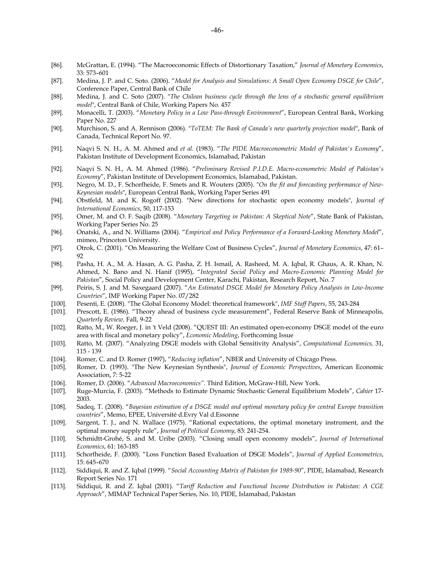- [86]. McGrattan, E. (1994). "The Macroeconomic Effects of Distortionary Taxation," *Journal of Monetary Economics*, 33: 573–601
- [87]. Medina, J. P. and C. Soto. (2006). "*Model for Analysis and Simulations: A Small Open Economy DSGE for Chile*", Conference Paper, Central Bank of Chile
- [88]. Medina, J. and C. Soto (2007). "*The Chilean business cycle through the lens of a stochastic general equilibrium model*", Central Bank of Chile, Working Papers No. 457
- [89]. Monacelli, T. (2003). "*Monetary Policy in a Low Pass-through Environment*", European Central Bank, Working Paper No. 227
- [90]. Murchison, S. and A. Rennison (2006). "*ToTEM: The Bank of Canada's new quarterly projection model*", Bank of Canada, Technical Report No. 97.
- [91]. Naqvi S. N. H., A. M. Ahmed and *et al.* (1983). "*The PIDE Macroeconometric Model of Pakistan's Economy*", Pakistan Institute of Development Economics, Islamabad, Pakistan
- [92]. Naqvi S. N. H., A. M. Ahmed (1986). "*Preliminary Revised P.I.D.E. Macro-econometric Model of Pakistan's Economy*", Pakistan Institute of Development Economics, Islamabad, Pakistan.
- [93]. Negro, M. D., F. Schorfheide, F. Smets and R. Wouters (2005). "*On the fit and forecasting performance of New-Keynesian models*", European Central Bank, Working Paper Series 491
- [94]. Obstfeld, M. and K. Rogoff (2002). "New directions for stochastic open economy models", *Journal of International Economics*, 50, 117-153
- [95]. Omer, M. and O. F. Saqib (2008). "*Monetary Targeting in Pakistan: A Skeptical Note*", State Bank of Pakistan, Working Paper Series No. 25
- [96]. Onatski, A., and N. Williams (2004). "*Empirical and Policy Performance of a Forward-Looking Monetary Model*", mimeo, Princeton University.
- [97]. Otrok, C. (2001). "On Measuring the Welfare Cost of Business Cycles", *Journal of Monetary Economics*, 47: 61– 92
- [98]. Pasha, H. A., M. A. Hasan, A. G. Pasha, Z. H. Ismail, A. Rasheed, M. A. Iqbal, R. Ghaus, A. R. Khan, N. Ahmed, N. Bano and N. Hanif (1995), "*Integrated Social Policy and Macro-Economic Planning Model for Pakistan*", Social Policy and Development Center, Karachi, Pakistan, Research Report, No. 7
- [99]. Peiris, S. J. and M. Saxegaard (2007). "*An Estimated DSGE Model for Monetary Policy Analysis in Low-Income Countries*", IMF Working Paper No. 07/282
- [100]. Pesenti, E. (2008). "The Global Economy Model: theoretical framework", *IMF Staff Papers*, 55, 243-284
- [101]. Prescott, E. (1986). "Theory ahead of business cycle measurement", Federal Reserve Bank of Minneapolis, *Quarterly Review,* Fall, 9-22
- [102]. Ratto, M., W. Roeger, J. in 't Veld (2008). "QUEST III: An estimated open-economy DSGE model of the euro area with fiscal and monetary policy", *Economic Modeling*, Forthcoming Issue
- [103]. Ratto, M. (2007). "Analyzing DSGE models with Global Sensitivity Analysis", *Computational Economics,* 31, 115 - 139
- [104]. Romer, C. and D. Romer (1997), "*Reducing inflation*", NBER and University of Chicago Press.
- [105]. Romer, D. (1993). "The New Keynesian Synthesis", *Journal of Economic Perspectives*, American Economic Association, 7: 5-22
- [106]. Romer, D. (2006). "*Advanced Macroeconomics"*. Third Edition, McGraw-Hill, New York.
- [107]. Ruge-Murcia, F. (2003). "Methods to Estimate Dynamic Stochastic General Equilibrium Models", *Cahier* 17- 2003.
- [108]. Sadeq, T. (2008). "*Bayesian estimation of a DSGE model and optimal monetary policy for central Europe transition countries*", Memo, EPEE, Université d.Evry Val d.Essonne
- [109]. Sargent, T. J., and N. Wallace (1975). "Rational expectations, the optimal monetary instrument, and the optimal money supply rule", *Journal of Political Economy*, 83: 241-254.
- [110]. Schmidtt-Grohé, S. and M. Uribe (2003). "Closing small open economy models", *Journal of International Economics*, 61: 163-185
- [111]. Schorfheide, F. (2000). "Loss Function Based Evaluation of DSGE Models", *Journal of Applied Econometrics*, 15: 645–670
- [112]. Siddiqui, R. and Z. Iqbal (1999). "*Social Accounting Matrix of Pakistan for 1989-90*", PIDE, Islamabad, Research Report Series No. 171
- [113]. Siddiqui, R. and Z. Iqbal (2001). "*Tariff Reduction and Functional Income Distribution in Pakistan: A CGE Approach*", MIMAP Technical Paper Series, No. 10, PIDE, Islamabad, Pakistan